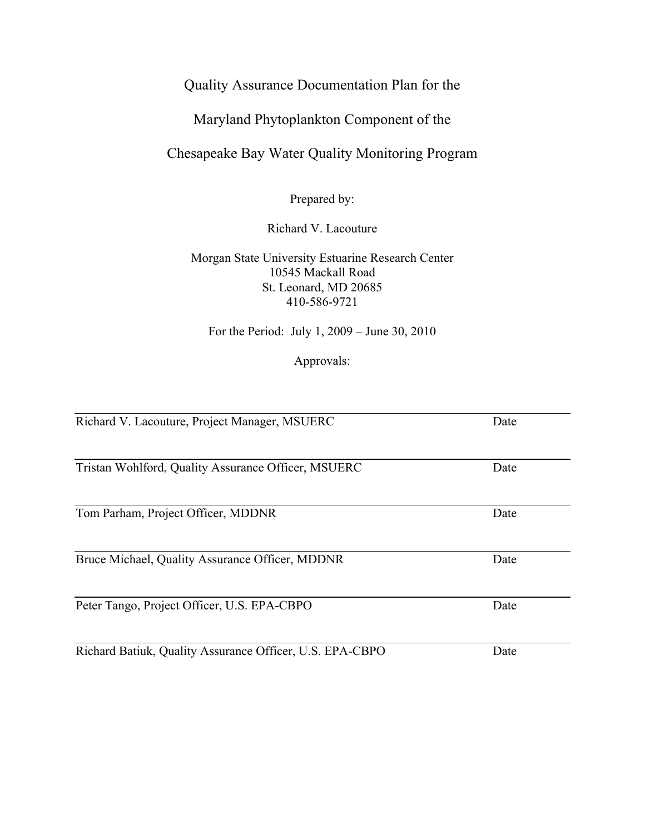# Quality Assurance Documentation Plan for the

# Maryland Phytoplankton Component of the

# Chesapeake Bay Water Quality Monitoring Program

Prepared by:

# Richard V. Lacouture

Morgan State University Estuarine Research Center 10545 Mackall Road St. Leonard, MD 20685 410-586-9721

For the Period: July 1, 2009 – June 30, 2010

Approvals:

| Richard V. Lacouture, Project Manager, MSUERC            | Date |
|----------------------------------------------------------|------|
| Tristan Wohlford, Quality Assurance Officer, MSUERC      | Date |
| Tom Parham, Project Officer, MDDNR                       | Date |
|                                                          |      |
| Bruce Michael, Quality Assurance Officer, MDDNR          | Date |
| Peter Tango, Project Officer, U.S. EPA-CBPO              | Date |
| Richard Batiuk, Quality Assurance Officer, U.S. EPA-CBPO | Date |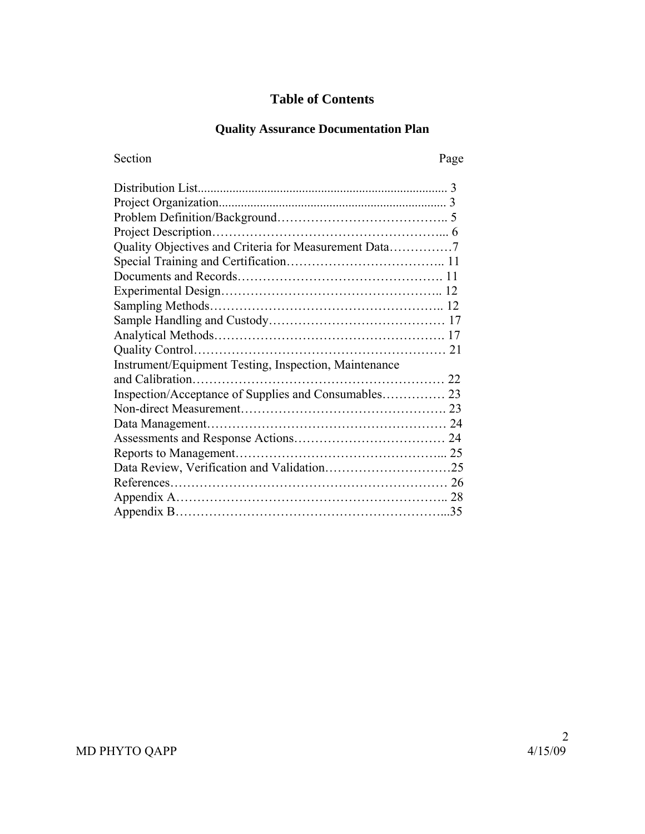# **Table of Contents**

# **Quality Assurance Documentation Plan**

| Section                                               | Page |
|-------------------------------------------------------|------|
|                                                       |      |
|                                                       |      |
|                                                       |      |
|                                                       |      |
| Quality Objectives and Criteria for Measurement Data7 |      |
|                                                       |      |
|                                                       |      |
|                                                       |      |
|                                                       |      |
|                                                       |      |
|                                                       |      |
|                                                       |      |
| Instrument/Equipment Testing, Inspection, Maintenance |      |
|                                                       |      |
|                                                       |      |
|                                                       |      |
|                                                       |      |
|                                                       |      |
|                                                       |      |
|                                                       |      |
|                                                       |      |
|                                                       |      |
|                                                       |      |
|                                                       |      |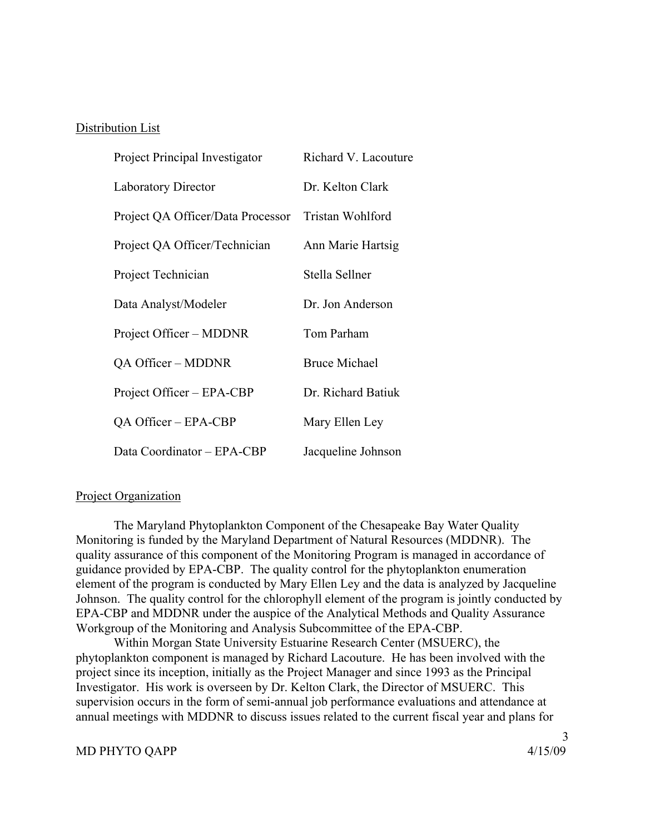### Distribution List

| Project Principal Investigator    | Richard V. Lacouture |
|-----------------------------------|----------------------|
| <b>Laboratory Director</b>        | Dr. Kelton Clark     |
| Project QA Officer/Data Processor | Tristan Wohlford     |
| Project QA Officer/Technician     | Ann Marie Hartsig    |
| Project Technician                | Stella Sellner       |
| Data Analyst/Modeler              | Dr. Jon Anderson     |
| Project Officer – MDDNR           | Tom Parham           |
| QA Officer – MDDNR                | <b>Bruce Michael</b> |
| Project Officer – EPA-CBP         | Dr. Richard Batiuk   |
| QA Officer – EPA-CBP              | Mary Ellen Ley       |
| Data Coordinator - EPA-CBP        | Jacqueline Johnson   |

### Project Organization

 The Maryland Phytoplankton Component of the Chesapeake Bay Water Quality Monitoring is funded by the Maryland Department of Natural Resources (MDDNR). The quality assurance of this component of the Monitoring Program is managed in accordance of guidance provided by EPA-CBP. The quality control for the phytoplankton enumeration element of the program is conducted by Mary Ellen Ley and the data is analyzed by Jacqueline Johnson. The quality control for the chlorophyll element of the program is jointly conducted by EPA-CBP and MDDNR under the auspice of the Analytical Methods and Quality Assurance Workgroup of the Monitoring and Analysis Subcommittee of the EPA-CBP.

 Within Morgan State University Estuarine Research Center (MSUERC), the phytoplankton component is managed by Richard Lacouture. He has been involved with the project since its inception, initially as the Project Manager and since 1993 as the Principal Investigator. His work is overseen by Dr. Kelton Clark, the Director of MSUERC. This supervision occurs in the form of semi-annual job performance evaluations and attendance at annual meetings with MDDNR to discuss issues related to the current fiscal year and plans for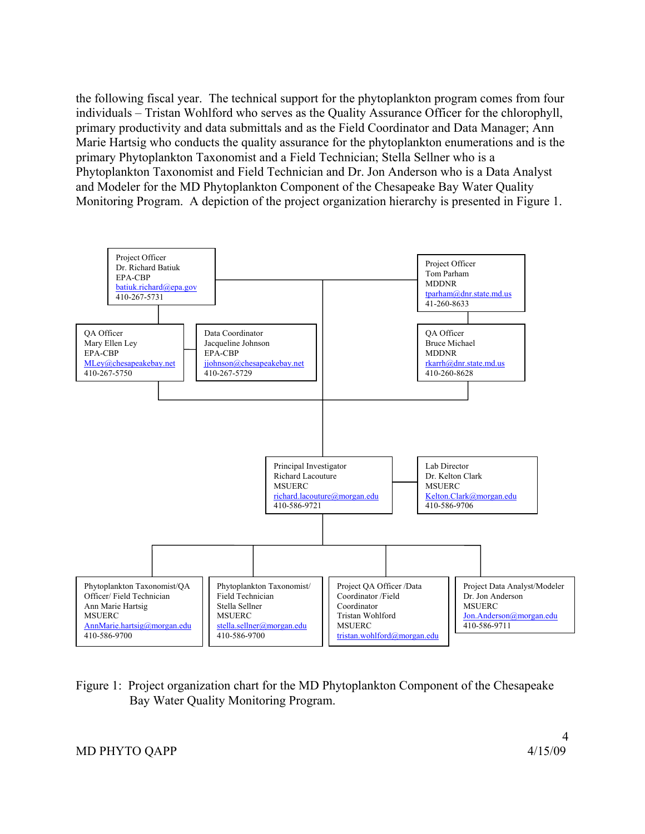the following fiscal year. The technical support for the phytoplankton program comes from four individuals – Tristan Wohlford who serves as the Quality Assurance Officer for the chlorophyll, primary productivity and data submittals and as the Field Coordinator and Data Manager; Ann Marie Hartsig who conducts the quality assurance for the phytoplankton enumerations and is the primary Phytoplankton Taxonomist and a Field Technician; Stella Sellner who is a Phytoplankton Taxonomist and Field Technician and Dr. Jon Anderson who is a Data Analyst and Modeler for the MD Phytoplankton Component of the Chesapeake Bay Water Quality Monitoring Program. A depiction of the project organization hierarchy is presented in Figure 1.



Figure 1: Project organization chart for the MD Phytoplankton Component of the Chesapeake Bay Water Quality Monitoring Program.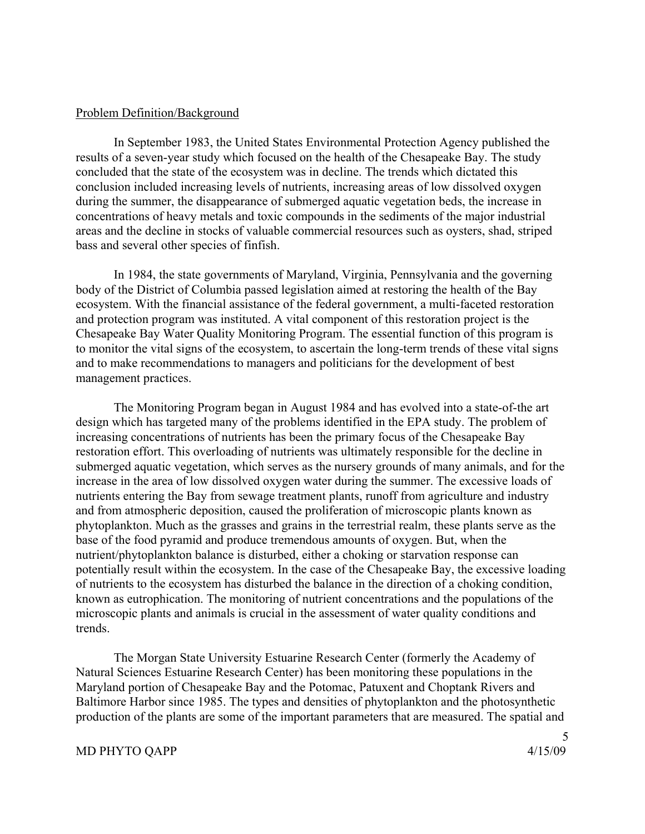### Problem Definition/Background

 In September 1983, the United States Environmental Protection Agency published the results of a seven-year study which focused on the health of the Chesapeake Bay. The study concluded that the state of the ecosystem was in decline. The trends which dictated this conclusion included increasing levels of nutrients, increasing areas of low dissolved oxygen during the summer, the disappearance of submerged aquatic vegetation beds, the increase in concentrations of heavy metals and toxic compounds in the sediments of the major industrial areas and the decline in stocks of valuable commercial resources such as oysters, shad, striped bass and several other species of finfish.

 In 1984, the state governments of Maryland, Virginia, Pennsylvania and the governing body of the District of Columbia passed legislation aimed at restoring the health of the Bay ecosystem. With the financial assistance of the federal government, a multi-faceted restoration and protection program was instituted. A vital component of this restoration project is the Chesapeake Bay Water Quality Monitoring Program. The essential function of this program is to monitor the vital signs of the ecosystem, to ascertain the long-term trends of these vital signs and to make recommendations to managers and politicians for the development of best management practices.

 The Monitoring Program began in August 1984 and has evolved into a state-of-the art design which has targeted many of the problems identified in the EPA study. The problem of increasing concentrations of nutrients has been the primary focus of the Chesapeake Bay restoration effort. This overloading of nutrients was ultimately responsible for the decline in submerged aquatic vegetation, which serves as the nursery grounds of many animals, and for the increase in the area of low dissolved oxygen water during the summer. The excessive loads of nutrients entering the Bay from sewage treatment plants, runoff from agriculture and industry and from atmospheric deposition, caused the proliferation of microscopic plants known as phytoplankton. Much as the grasses and grains in the terrestrial realm, these plants serve as the base of the food pyramid and produce tremendous amounts of oxygen. But, when the nutrient/phytoplankton balance is disturbed, either a choking or starvation response can potentially result within the ecosystem. In the case of the Chesapeake Bay, the excessive loading of nutrients to the ecosystem has disturbed the balance in the direction of a choking condition, known as eutrophication. The monitoring of nutrient concentrations and the populations of the microscopic plants and animals is crucial in the assessment of water quality conditions and trends.

 The Morgan State University Estuarine Research Center (formerly the Academy of Natural Sciences Estuarine Research Center) has been monitoring these populations in the Maryland portion of Chesapeake Bay and the Potomac, Patuxent and Choptank Rivers and Baltimore Harbor since 1985. The types and densities of phytoplankton and the photosynthetic production of the plants are some of the important parameters that are measured. The spatial and

# MD PHYTO QAPP 4/15/09

5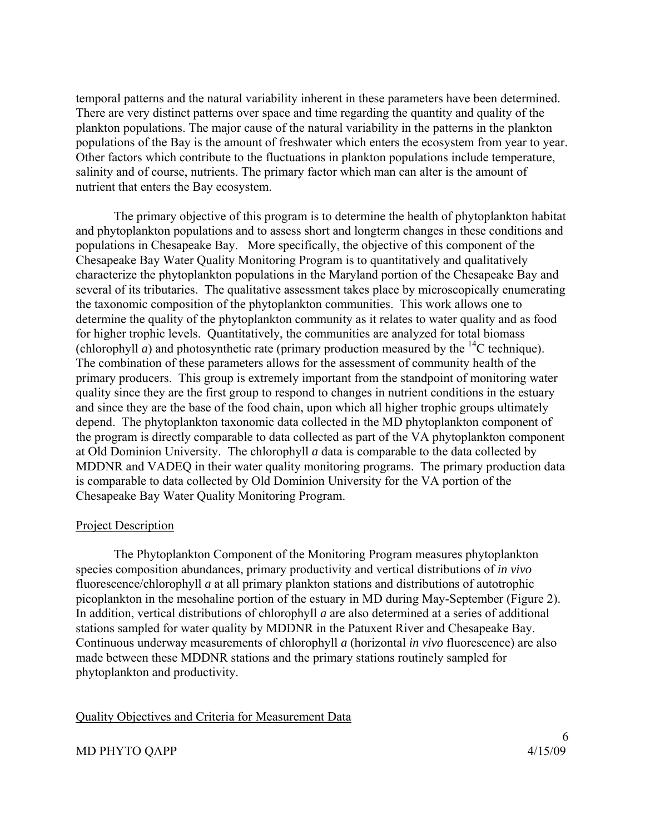temporal patterns and the natural variability inherent in these parameters have been determined. There are very distinct patterns over space and time regarding the quantity and quality of the plankton populations. The major cause of the natural variability in the patterns in the plankton populations of the Bay is the amount of freshwater which enters the ecosystem from year to year. Other factors which contribute to the fluctuations in plankton populations include temperature, salinity and of course, nutrients. The primary factor which man can alter is the amount of nutrient that enters the Bay ecosystem.

The primary objective of this program is to determine the health of phytoplankton habitat and phytoplankton populations and to assess short and longterm changes in these conditions and populations in Chesapeake Bay. More specifically, the objective of this component of the Chesapeake Bay Water Quality Monitoring Program is to quantitatively and qualitatively characterize the phytoplankton populations in the Maryland portion of the Chesapeake Bay and several of its tributaries. The qualitative assessment takes place by microscopically enumerating the taxonomic composition of the phytoplankton communities. This work allows one to determine the quality of the phytoplankton community as it relates to water quality and as food for higher trophic levels. Quantitatively, the communities are analyzed for total biomass (chlorophyll *a*) and photosynthetic rate (primary production measured by the  $^{14}$ C technique). The combination of these parameters allows for the assessment of community health of the primary producers. This group is extremely important from the standpoint of monitoring water quality since they are the first group to respond to changes in nutrient conditions in the estuary and since they are the base of the food chain, upon which all higher trophic groups ultimately depend. The phytoplankton taxonomic data collected in the MD phytoplankton component of the program is directly comparable to data collected as part of the VA phytoplankton component at Old Dominion University. The chlorophyll *a* data is comparable to the data collected by MDDNR and VADEQ in their water quality monitoring programs. The primary production data is comparable to data collected by Old Dominion University for the VA portion of the Chesapeake Bay Water Quality Monitoring Program.

# Project Description

The Phytoplankton Component of the Monitoring Program measures phytoplankton species composition abundances, primary productivity and vertical distributions of *in vivo* fluorescence/chlorophyll *a* at all primary plankton stations and distributions of autotrophic picoplankton in the mesohaline portion of the estuary in MD during May-September (Figure 2). In addition, vertical distributions of chlorophyll *a* are also determined at a series of additional stations sampled for water quality by MDDNR in the Patuxent River and Chesapeake Bay. Continuous underway measurements of chlorophyll *a* (horizontal *in vivo* fluorescence) are also made between these MDDNR stations and the primary stations routinely sampled for phytoplankton and productivity.

### Quality Objectives and Criteria for Measurement Data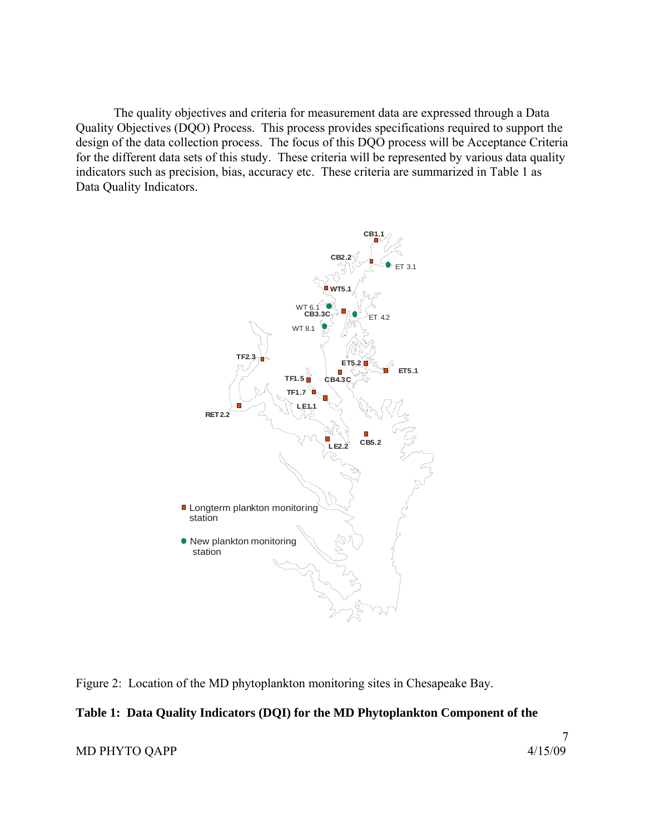The quality objectives and criteria for measurement data are expressed through a Data Quality Objectives (DQO) Process. This process provides specifications required to support the design of the data collection process. The focus of this DQO process will be Acceptance Criteria for the different data sets of this study. These criteria will be represented by various data quality indicators such as precision, bias, accuracy etc. These criteria are summarized in Table 1 as Data Quality Indicators.



Figure 2: Location of the MD phytoplankton monitoring sites in Chesapeake Bay.

# **Table 1: Data Quality Indicators (DQI) for the MD Phytoplankton Component of the**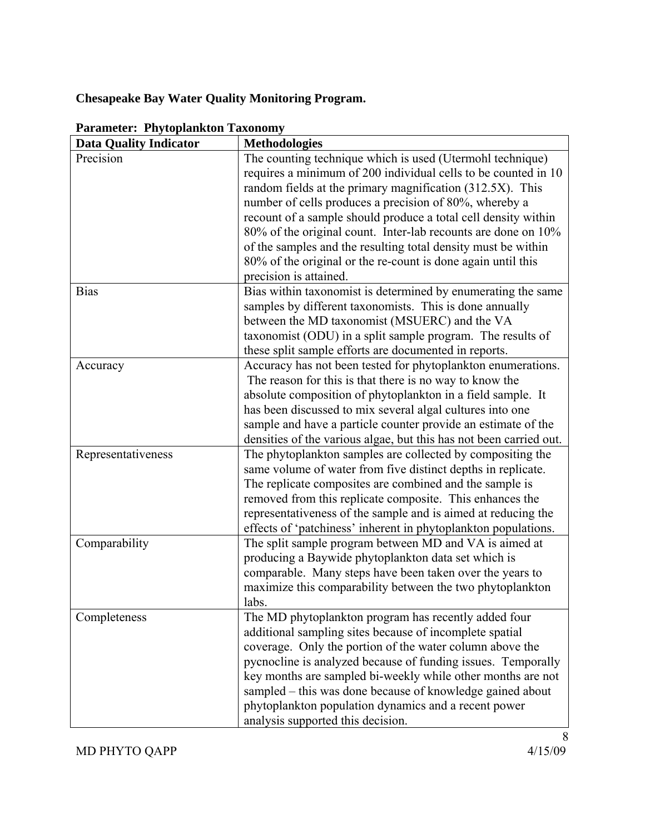# **Chesapeake Bay Water Quality Monitoring Program.**

| <b>Data Quality Indicator</b> | <b>Methodologies</b>                                                                                                                                                                     |
|-------------------------------|------------------------------------------------------------------------------------------------------------------------------------------------------------------------------------------|
| Precision                     | The counting technique which is used (Utermohl technique)<br>requires a minimum of 200 individual cells to be counted in 10<br>random fields at the primary magnification (312.5X). This |
|                               | number of cells produces a precision of 80%, whereby a                                                                                                                                   |
|                               | recount of a sample should produce a total cell density within                                                                                                                           |
|                               | 80% of the original count. Inter-lab recounts are done on 10%                                                                                                                            |
|                               | of the samples and the resulting total density must be within                                                                                                                            |
|                               | 80% of the original or the re-count is done again until this                                                                                                                             |
|                               | precision is attained.                                                                                                                                                                   |
| <b>Bias</b>                   | Bias within taxonomist is determined by enumerating the same                                                                                                                             |
|                               | samples by different taxonomists. This is done annually                                                                                                                                  |
|                               | between the MD taxonomist (MSUERC) and the VA                                                                                                                                            |
|                               | taxonomist (ODU) in a split sample program. The results of                                                                                                                               |
|                               | these split sample efforts are documented in reports.                                                                                                                                    |
| Accuracy                      | Accuracy has not been tested for phytoplankton enumerations.                                                                                                                             |
|                               | The reason for this is that there is no way to know the                                                                                                                                  |
|                               | absolute composition of phytoplankton in a field sample. It                                                                                                                              |
|                               | has been discussed to mix several algal cultures into one                                                                                                                                |
|                               | sample and have a particle counter provide an estimate of the                                                                                                                            |
|                               | densities of the various algae, but this has not been carried out.                                                                                                                       |
| Representativeness            | The phytoplankton samples are collected by compositing the                                                                                                                               |
|                               | same volume of water from five distinct depths in replicate.                                                                                                                             |
|                               | The replicate composites are combined and the sample is                                                                                                                                  |
|                               | removed from this replicate composite. This enhances the                                                                                                                                 |
|                               | representativeness of the sample and is aimed at reducing the                                                                                                                            |
|                               | effects of 'patchiness' inherent in phytoplankton populations.                                                                                                                           |
| Comparability                 | The split sample program between MD and VA is aimed at                                                                                                                                   |
|                               | producing a Baywide phytoplankton data set which is                                                                                                                                      |
|                               | comparable. Many steps have been taken over the years to                                                                                                                                 |
|                               | maximize this comparability between the two phytoplankton                                                                                                                                |
|                               | labs.                                                                                                                                                                                    |
| Completeness                  | The MD phytoplankton program has recently added four                                                                                                                                     |
|                               | additional sampling sites because of incomplete spatial                                                                                                                                  |
|                               | coverage. Only the portion of the water column above the                                                                                                                                 |
|                               | pycnocline is analyzed because of funding issues. Temporally                                                                                                                             |
|                               | key months are sampled bi-weekly while other months are not                                                                                                                              |
|                               | sampled – this was done because of knowledge gained about                                                                                                                                |
|                               | phytoplankton population dynamics and a recent power                                                                                                                                     |
|                               | analysis supported this decision.                                                                                                                                                        |

# **Parameter: Phytoplankton Taxonomy**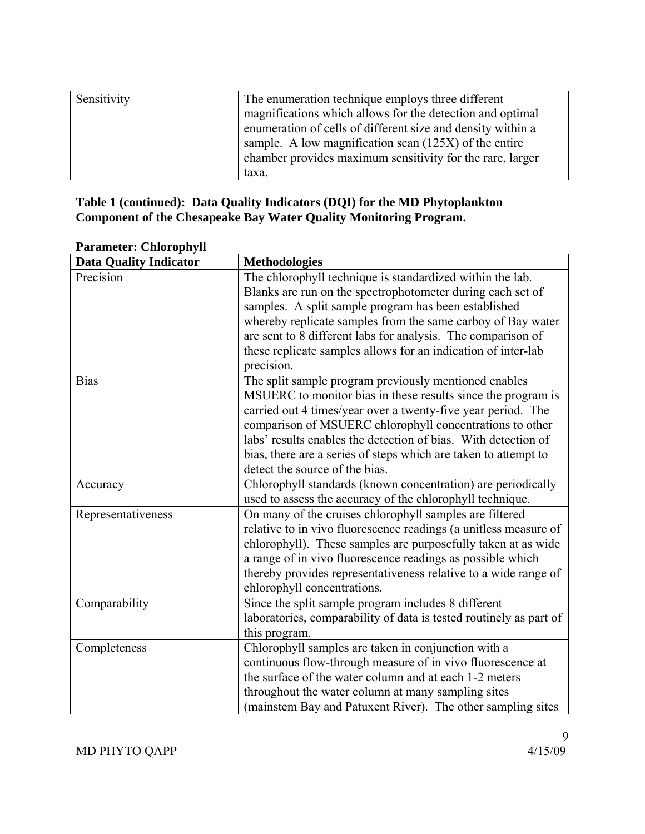| Sensitivity | The enumeration technique employs three different           |
|-------------|-------------------------------------------------------------|
|             | magnifications which allows for the detection and optimal   |
|             | enumeration of cells of different size and density within a |
|             | sample. A low magnification scan $(125X)$ of the entire     |
|             | chamber provides maximum sensitivity for the rare, larger   |
|             | taxa.                                                       |

# **Table 1 (continued): Data Quality Indicators (DQI) for the MD Phytoplankton Component of the Chesapeake Bay Water Quality Monitoring Program.**

| <b>Data Quality Indicator</b> | <b>Methodologies</b>                                               |
|-------------------------------|--------------------------------------------------------------------|
| Precision                     | The chlorophyll technique is standardized within the lab.          |
|                               | Blanks are run on the spectrophotometer during each set of         |
|                               | samples. A split sample program has been established               |
|                               | whereby replicate samples from the same carboy of Bay water        |
|                               | are sent to 8 different labs for analysis. The comparison of       |
|                               | these replicate samples allows for an indication of inter-lab      |
|                               | precision.                                                         |
| <b>Bias</b>                   | The split sample program previously mentioned enables              |
|                               | MSUERC to monitor bias in these results since the program is       |
|                               | carried out 4 times/year over a twenty-five year period. The       |
|                               | comparison of MSUERC chlorophyll concentrations to other           |
|                               | labs' results enables the detection of bias. With detection of     |
|                               | bias, there are a series of steps which are taken to attempt to    |
|                               | detect the source of the bias.                                     |
| Accuracy                      | Chlorophyll standards (known concentration) are periodically       |
|                               | used to assess the accuracy of the chlorophyll technique.          |
| Representativeness            | On many of the cruises chlorophyll samples are filtered            |
|                               | relative to in vivo fluorescence readings (a unitless measure of   |
|                               | chlorophyll). These samples are purposefully taken at as wide      |
|                               | a range of in vivo fluorescence readings as possible which         |
|                               | thereby provides representativeness relative to a wide range of    |
|                               | chlorophyll concentrations.                                        |
| Comparability                 | Since the split sample program includes 8 different                |
|                               | laboratories, comparability of data is tested routinely as part of |
|                               | this program.                                                      |
| Completeness                  | Chlorophyll samples are taken in conjunction with a                |
|                               | continuous flow-through measure of in vivo fluorescence at         |
|                               | the surface of the water column and at each 1-2 meters             |
|                               | throughout the water column at many sampling sites                 |
|                               | (mainstem Bay and Patuxent River). The other sampling sites        |

# **Parameter: Chlorophyll**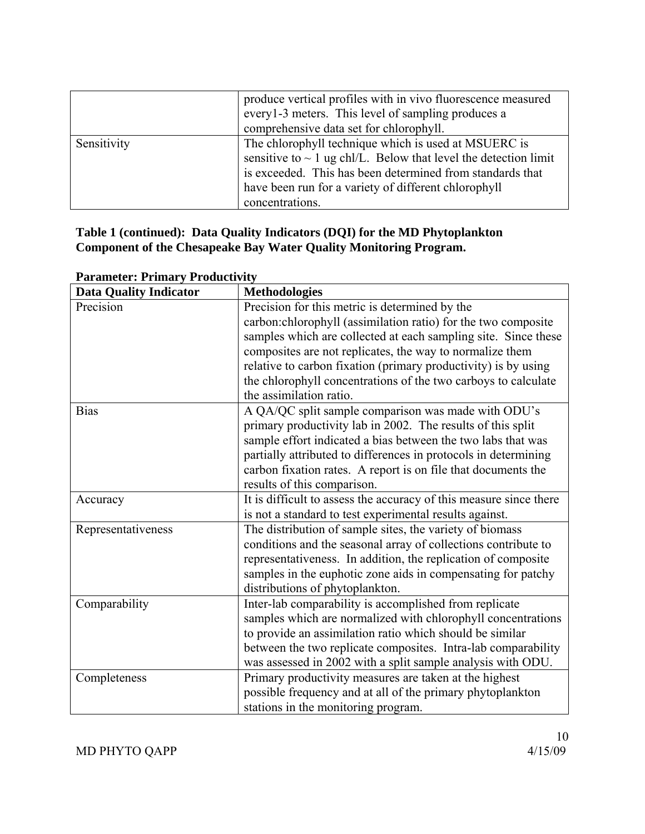|             | produce vertical profiles with in vivo fluorescence measured<br>every1-3 meters. This level of sampling produces a<br>comprehensive data set for chlorophyll.                                                                                                        |
|-------------|----------------------------------------------------------------------------------------------------------------------------------------------------------------------------------------------------------------------------------------------------------------------|
| Sensitivity | The chlorophyll technique which is used at MSUERC is<br>sensitive to $\sim 1$ ug chl/L. Below that level the detection limit<br>is exceeded. This has been determined from standards that<br>have been run for a variety of different chlorophyll<br>concentrations. |

# **Table 1 (continued): Data Quality Indicators (DQI) for the MD Phytoplankton Component of the Chesapeake Bay Water Quality Monitoring Program.**

| <b>Data Quality Indicator</b> | <b>Methodologies</b>                                               |
|-------------------------------|--------------------------------------------------------------------|
| Precision                     | Precision for this metric is determined by the                     |
|                               | carbon: chlorophyll (assimilation ratio) for the two composite     |
|                               | samples which are collected at each sampling site. Since these     |
|                               | composites are not replicates, the way to normalize them           |
|                               | relative to carbon fixation (primary productivity) is by using     |
|                               | the chlorophyll concentrations of the two carboys to calculate     |
|                               | the assimilation ratio.                                            |
| <b>Bias</b>                   | A QA/QC split sample comparison was made with ODU's                |
|                               | primary productivity lab in 2002. The results of this split        |
|                               | sample effort indicated a bias between the two labs that was       |
|                               | partially attributed to differences in protocols in determining    |
|                               | carbon fixation rates. A report is on file that documents the      |
|                               | results of this comparison.                                        |
| Accuracy                      | It is difficult to assess the accuracy of this measure since there |
|                               | is not a standard to test experimental results against.            |
| Representativeness            | The distribution of sample sites, the variety of biomass           |
|                               | conditions and the seasonal array of collections contribute to     |
|                               | representativeness. In addition, the replication of composite      |
|                               | samples in the euphotic zone aids in compensating for patchy       |
|                               | distributions of phytoplankton.                                    |
| Comparability                 | Inter-lab comparability is accomplished from replicate             |
|                               | samples which are normalized with chlorophyll concentrations       |
|                               | to provide an assimilation ratio which should be similar           |
|                               | between the two replicate composites. Intra-lab comparability      |
|                               | was assessed in 2002 with a split sample analysis with ODU.        |
| Completeness                  | Primary productivity measures are taken at the highest             |
|                               | possible frequency and at all of the primary phytoplankton         |
|                               | stations in the monitoring program.                                |

# **Parameter: Primary Productivity**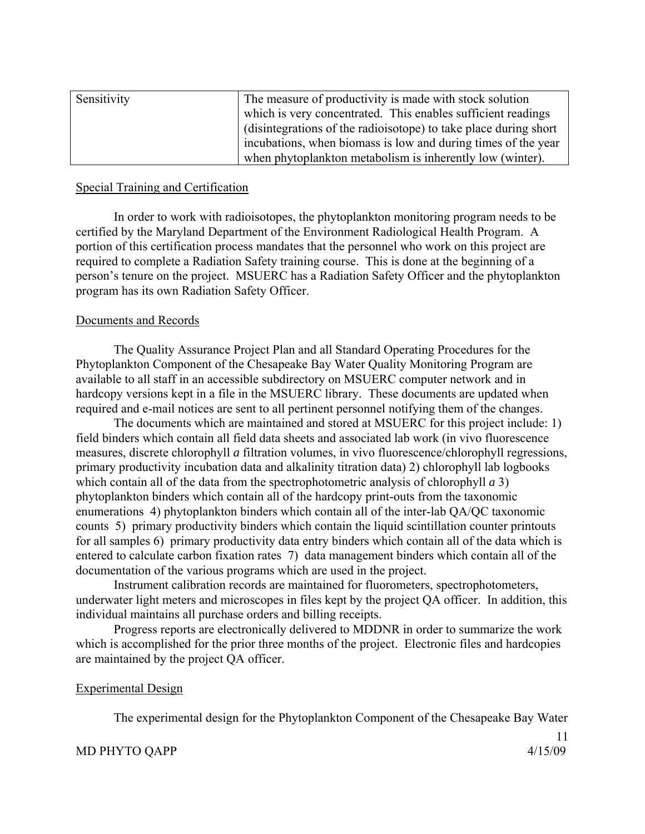| Sensitivity | The measure of productivity is made with stock solution          |
|-------------|------------------------------------------------------------------|
|             | which is very concentrated. This enables sufficient readings     |
|             | (disintegrations of the radioisotope) to take place during short |
|             | incubations, when biomass is low and during times of the year    |
|             | when phytoplankton metabolism is inherently low (winter).        |

# Special Training and Certification

 In order to work with radioisotopes, the phytoplankton monitoring program needs to be certified by the Maryland Department of the Environment Radiological Health Program. A portion of this certification process mandates that the personnel who work on this project are required to complete a Radiation Safety training course. This is done at the beginning of a person's tenure on the project. MSUERC has a Radiation Safety Officer and the phytoplankton program has its own Radiation Safety Officer.

### Documents and Records

 The Quality Assurance Project Plan and all Standard Operating Procedures for the Phytoplankton Component of the Chesapeake Bay Water Quality Monitoring Program are available to all staff in an accessible subdirectory on MSUERC computer network and in hardcopy versions kept in a file in the MSUERC library. These documents are updated when required and e-mail notices are sent to all pertinent personnel notifying them of the changes.

 The documents which are maintained and stored at MSUERC for this project include: 1) field binders which contain all field data sheets and associated lab work (in vivo fluorescence measures, discrete chlorophyll *a* filtration volumes, in vivo fluorescence/chlorophyll regressions, primary productivity incubation data and alkalinity titration data) 2) chlorophyll lab logbooks which contain all of the data from the spectrophotometric analysis of chlorophyll *a* 3) phytoplankton binders which contain all of the hardcopy print-outs from the taxonomic enumerations 4) phytoplankton binders which contain all of the inter-lab QA/QC taxonomic counts 5) primary productivity binders which contain the liquid scintillation counter printouts for all samples 6) primary productivity data entry binders which contain all of the data which is entered to calculate carbon fixation rates 7) data management binders which contain all of the documentation of the various programs which are used in the project.

 Instrument calibration records are maintained for fluorometers, spectrophotometers, underwater light meters and microscopes in files kept by the project QA officer. In addition, this individual maintains all purchase orders and billing receipts.

 Progress reports are electronically delivered to MDDNR in order to summarize the work which is accomplished for the prior three months of the project. Electronic files and hardcopies are maintained by the project QA officer.

### Experimental Design

The experimental design for the Phytoplankton Component of the Chesapeake Bay Water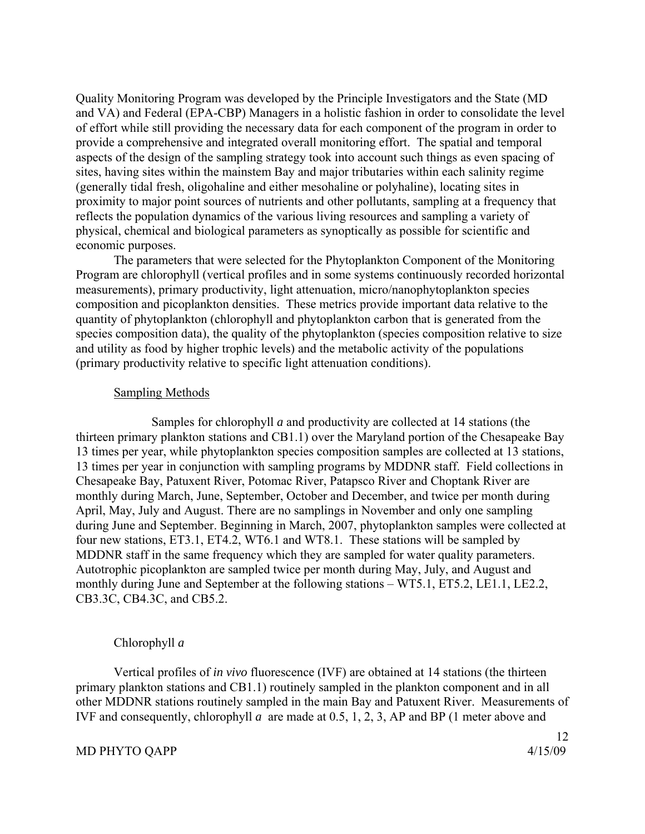Quality Monitoring Program was developed by the Principle Investigators and the State (MD and VA) and Federal (EPA-CBP) Managers in a holistic fashion in order to consolidate the level of effort while still providing the necessary data for each component of the program in order to provide a comprehensive and integrated overall monitoring effort. The spatial and temporal aspects of the design of the sampling strategy took into account such things as even spacing of sites, having sites within the mainstem Bay and major tributaries within each salinity regime (generally tidal fresh, oligohaline and either mesohaline or polyhaline), locating sites in proximity to major point sources of nutrients and other pollutants, sampling at a frequency that reflects the population dynamics of the various living resources and sampling a variety of physical, chemical and biological parameters as synoptically as possible for scientific and economic purposes.

 The parameters that were selected for the Phytoplankton Component of the Monitoring Program are chlorophyll (vertical profiles and in some systems continuously recorded horizontal measurements), primary productivity, light attenuation, micro/nanophytoplankton species composition and picoplankton densities. These metrics provide important data relative to the quantity of phytoplankton (chlorophyll and phytoplankton carbon that is generated from the species composition data), the quality of the phytoplankton (species composition relative to size and utility as food by higher trophic levels) and the metabolic activity of the populations (primary productivity relative to specific light attenuation conditions).

### Sampling Methods

 Samples for chlorophyll *a* and productivity are collected at 14 stations (the thirteen primary plankton stations and CB1.1) over the Maryland portion of the Chesapeake Bay 13 times per year, while phytoplankton species composition samples are collected at 13 stations, 13 times per year in conjunction with sampling programs by MDDNR staff. Field collections in Chesapeake Bay, Patuxent River, Potomac River, Patapsco River and Choptank River are monthly during March, June, September, October and December, and twice per month during April, May, July and August. There are no samplings in November and only one sampling during June and September. Beginning in March, 2007, phytoplankton samples were collected at four new stations, ET3.1, ET4.2, WT6.1 and WT8.1. These stations will be sampled by MDDNR staff in the same frequency which they are sampled for water quality parameters. Autotrophic picoplankton are sampled twice per month during May, July, and August and monthly during June and September at the following stations – WT5.1, ET5.2, LE1.1, LE2.2, CB3.3C, CB4.3C, and CB5.2.

# Chlorophyll *a*

Vertical profiles of *in vivo* fluorescence (IVF) are obtained at 14 stations (the thirteen primary plankton stations and CB1.1) routinely sampled in the plankton component and in all other MDDNR stations routinely sampled in the main Bay and Patuxent River. Measurements of IVF and consequently, chlorophyll *a* are made at 0.5, 1, 2, 3, AP and BP (1 meter above and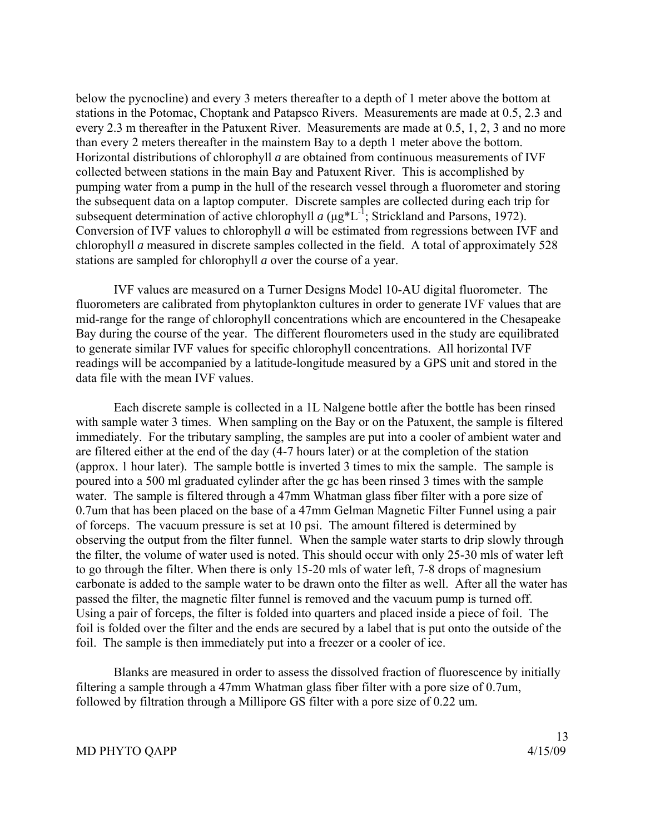below the pycnocline) and every 3 meters thereafter to a depth of 1 meter above the bottom at stations in the Potomac, Choptank and Patapsco Rivers. Measurements are made at 0.5, 2.3 and every 2.3 m thereafter in the Patuxent River. Measurements are made at 0.5, 1, 2, 3 and no more than every 2 meters thereafter in the mainstem Bay to a depth 1 meter above the bottom. Horizontal distributions of chlorophyll *a* are obtained from continuous measurements of IVF collected between stations in the main Bay and Patuxent River. This is accomplished by pumping water from a pump in the hull of the research vessel through a fluorometer and storing the subsequent data on a laptop computer. Discrete samples are collected during each trip for subsequent determination of active chlorophyll *a* (μg\*L-1; Strickland and Parsons, 1972). Conversion of IVF values to chlorophyll *a* will be estimated from regressions between IVF and chlorophyll *a* measured in discrete samples collected in the field. A total of approximately 528 stations are sampled for chlorophyll *a* over the course of a year.

IVF values are measured on a Turner Designs Model 10-AU digital fluorometer. The fluorometers are calibrated from phytoplankton cultures in order to generate IVF values that are mid-range for the range of chlorophyll concentrations which are encountered in the Chesapeake Bay during the course of the year. The different flourometers used in the study are equilibrated to generate similar IVF values for specific chlorophyll concentrations. All horizontal IVF readings will be accompanied by a latitude-longitude measured by a GPS unit and stored in the data file with the mean IVF values.

Each discrete sample is collected in a 1L Nalgene bottle after the bottle has been rinsed with sample water 3 times. When sampling on the Bay or on the Patuxent, the sample is filtered immediately. For the tributary sampling, the samples are put into a cooler of ambient water and are filtered either at the end of the day (4-7 hours later) or at the completion of the station (approx. 1 hour later). The sample bottle is inverted 3 times to mix the sample. The sample is poured into a 500 ml graduated cylinder after the gc has been rinsed 3 times with the sample water. The sample is filtered through a 47mm Whatman glass fiber filter with a pore size of 0.7um that has been placed on the base of a 47mm Gelman Magnetic Filter Funnel using a pair of forceps. The vacuum pressure is set at 10 psi. The amount filtered is determined by observing the output from the filter funnel. When the sample water starts to drip slowly through the filter, the volume of water used is noted. This should occur with only 25-30 mls of water left to go through the filter. When there is only 15-20 mls of water left, 7-8 drops of magnesium carbonate is added to the sample water to be drawn onto the filter as well. After all the water has passed the filter, the magnetic filter funnel is removed and the vacuum pump is turned off. Using a pair of forceps, the filter is folded into quarters and placed inside a piece of foil. The foil is folded over the filter and the ends are secured by a label that is put onto the outside of the foil. The sample is then immediately put into a freezer or a cooler of ice.

Blanks are measured in order to assess the dissolved fraction of fluorescence by initially filtering a sample through a 47mm Whatman glass fiber filter with a pore size of 0.7um, followed by filtration through a Millipore GS filter with a pore size of 0.22 um.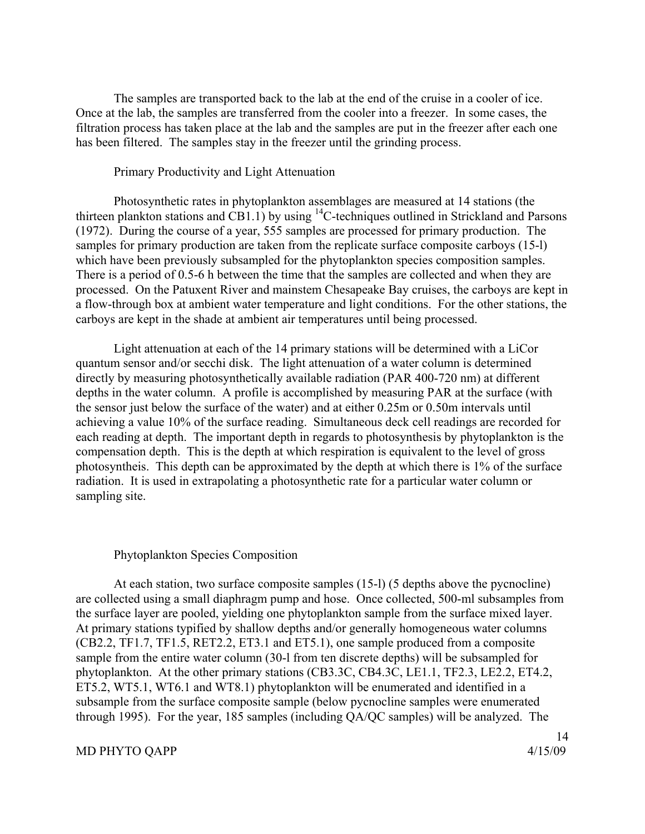The samples are transported back to the lab at the end of the cruise in a cooler of ice. Once at the lab, the samples are transferred from the cooler into a freezer. In some cases, the filtration process has taken place at the lab and the samples are put in the freezer after each one has been filtered. The samples stay in the freezer until the grinding process.

### Primary Productivity and Light Attenuation

Photosynthetic rates in phytoplankton assemblages are measured at 14 stations (the thirteen plankton stations and CB1.1) by using 14C-techniques outlined in Strickland and Parsons (1972). During the course of a year, 555 samples are processed for primary production. The samples for primary production are taken from the replicate surface composite carboys (15-l) which have been previously subsampled for the phytoplankton species composition samples. There is a period of 0.5-6 h between the time that the samples are collected and when they are processed. On the Patuxent River and mainstem Chesapeake Bay cruises, the carboys are kept in a flow-through box at ambient water temperature and light conditions. For the other stations, the carboys are kept in the shade at ambient air temperatures until being processed.

Light attenuation at each of the 14 primary stations will be determined with a LiCor quantum sensor and/or secchi disk. The light attenuation of a water column is determined directly by measuring photosynthetically available radiation (PAR 400-720 nm) at different depths in the water column. A profile is accomplished by measuring PAR at the surface (with the sensor just below the surface of the water) and at either 0.25m or 0.50m intervals until achieving a value 10% of the surface reading. Simultaneous deck cell readings are recorded for each reading at depth. The important depth in regards to photosynthesis by phytoplankton is the compensation depth. This is the depth at which respiration is equivalent to the level of gross photosyntheis. This depth can be approximated by the depth at which there is 1% of the surface radiation. It is used in extrapolating a photosynthetic rate for a particular water column or sampling site.

#### Phytoplankton Species Composition

At each station, two surface composite samples (15-l) (5 depths above the pycnocline) are collected using a small diaphragm pump and hose. Once collected, 500-ml subsamples from the surface layer are pooled, yielding one phytoplankton sample from the surface mixed layer. At primary stations typified by shallow depths and/or generally homogeneous water columns (CB2.2, TF1.7, TF1.5, RET2.2, ET3.1 and ET5.1), one sample produced from a composite sample from the entire water column (30-l from ten discrete depths) will be subsampled for phytoplankton. At the other primary stations (CB3.3C, CB4.3C, LE1.1, TF2.3, LE2.2, ET4.2, ET5.2, WT5.1, WT6.1 and WT8.1) phytoplankton will be enumerated and identified in a subsample from the surface composite sample (below pycnocline samples were enumerated through 1995). For the year, 185 samples (including QA/QC samples) will be analyzed. The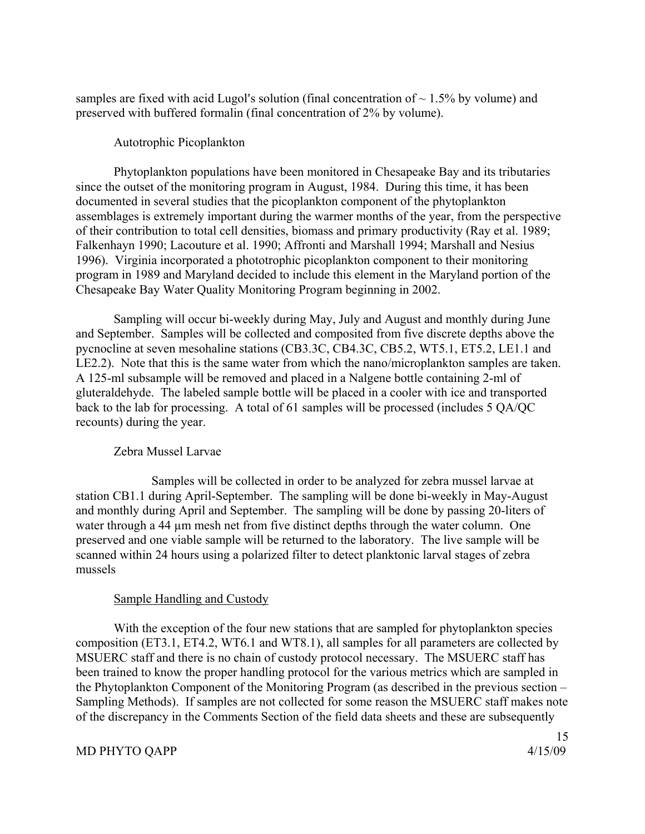samples are fixed with acid Lugol's solution (final concentration of  $\sim 1.5\%$  by volume) and preserved with buffered formalin (final concentration of 2% by volume).

# Autotrophic Picoplankton

Phytoplankton populations have been monitored in Chesapeake Bay and its tributaries since the outset of the monitoring program in August, 1984. During this time, it has been documented in several studies that the picoplankton component of the phytoplankton assemblages is extremely important during the warmer months of the year, from the perspective of their contribution to total cell densities, biomass and primary productivity (Ray et al. 1989; Falkenhayn 1990; Lacouture et al. 1990; Affronti and Marshall 1994; Marshall and Nesius 1996). Virginia incorporated a phototrophic picoplankton component to their monitoring program in 1989 and Maryland decided to include this element in the Maryland portion of the Chesapeake Bay Water Quality Monitoring Program beginning in 2002.

Sampling will occur bi-weekly during May, July and August and monthly during June and September. Samples will be collected and composited from five discrete depths above the pycnocline at seven mesohaline stations (CB3.3C, CB4.3C, CB5.2, WT5.1, ET5.2, LE1.1 and LE2.2). Note that this is the same water from which the nano/microplankton samples are taken. A 125-ml subsample will be removed and placed in a Nalgene bottle containing 2-ml of gluteraldehyde. The labeled sample bottle will be placed in a cooler with ice and transported back to the lab for processing. A total of 61 samples will be processed (includes 5 QA/QC recounts) during the year.

# Zebra Mussel Larvae

 Samples will be collected in order to be analyzed for zebra mussel larvae at station CB1.1 during April-September. The sampling will be done bi-weekly in May-August and monthly during April and September. The sampling will be done by passing 20-liters of water through a 44  $\mu$ m mesh net from five distinct depths through the water column. One preserved and one viable sample will be returned to the laboratory. The live sample will be scanned within 24 hours using a polarized filter to detect planktonic larval stages of zebra mussels

# Sample Handling and Custody

With the exception of the four new stations that are sampled for phytoplankton species composition (ET3.1, ET4.2, WT6.1 and WT8.1), all samples for all parameters are collected by MSUERC staff and there is no chain of custody protocol necessary. The MSUERC staff has been trained to know the proper handling protocol for the various metrics which are sampled in the Phytoplankton Component of the Monitoring Program (as described in the previous section – Sampling Methods). If samples are not collected for some reason the MSUERC staff makes note of the discrepancy in the Comments Section of the field data sheets and these are subsequently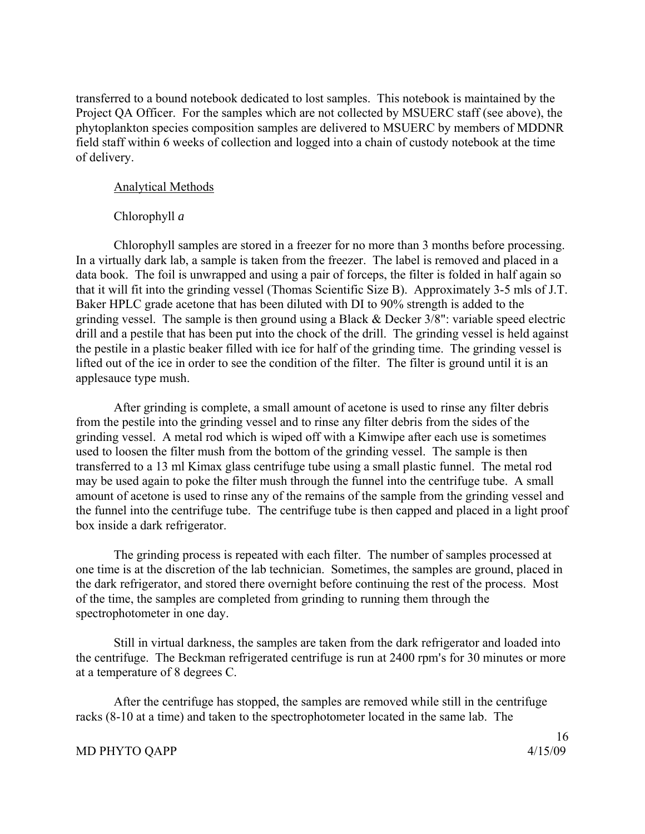transferred to a bound notebook dedicated to lost samples. This notebook is maintained by the Project QA Officer. For the samples which are not collected by MSUERC staff (see above), the phytoplankton species composition samples are delivered to MSUERC by members of MDDNR field staff within 6 weeks of collection and logged into a chain of custody notebook at the time of delivery.

# Analytical Methods

### Chlorophyll *a*

Chlorophyll samples are stored in a freezer for no more than 3 months before processing. In a virtually dark lab, a sample is taken from the freezer. The label is removed and placed in a data book. The foil is unwrapped and using a pair of forceps, the filter is folded in half again so that it will fit into the grinding vessel (Thomas Scientific Size B). Approximately 3-5 mls of J.T. Baker HPLC grade acetone that has been diluted with DI to 90% strength is added to the grinding vessel. The sample is then ground using a Black & Decker 3/8": variable speed electric drill and a pestile that has been put into the chock of the drill. The grinding vessel is held against the pestile in a plastic beaker filled with ice for half of the grinding time. The grinding vessel is lifted out of the ice in order to see the condition of the filter. The filter is ground until it is an applesauce type mush.

After grinding is complete, a small amount of acetone is used to rinse any filter debris from the pestile into the grinding vessel and to rinse any filter debris from the sides of the grinding vessel. A metal rod which is wiped off with a Kimwipe after each use is sometimes used to loosen the filter mush from the bottom of the grinding vessel. The sample is then transferred to a 13 ml Kimax glass centrifuge tube using a small plastic funnel. The metal rod may be used again to poke the filter mush through the funnel into the centrifuge tube. A small amount of acetone is used to rinse any of the remains of the sample from the grinding vessel and the funnel into the centrifuge tube. The centrifuge tube is then capped and placed in a light proof box inside a dark refrigerator.

The grinding process is repeated with each filter. The number of samples processed at one time is at the discretion of the lab technician. Sometimes, the samples are ground, placed in the dark refrigerator, and stored there overnight before continuing the rest of the process. Most of the time, the samples are completed from grinding to running them through the spectrophotometer in one day.

Still in virtual darkness, the samples are taken from the dark refrigerator and loaded into the centrifuge. The Beckman refrigerated centrifuge is run at 2400 rpm's for 30 minutes or more at a temperature of 8 degrees C.

After the centrifuge has stopped, the samples are removed while still in the centrifuge racks (8-10 at a time) and taken to the spectrophotometer located in the same lab. The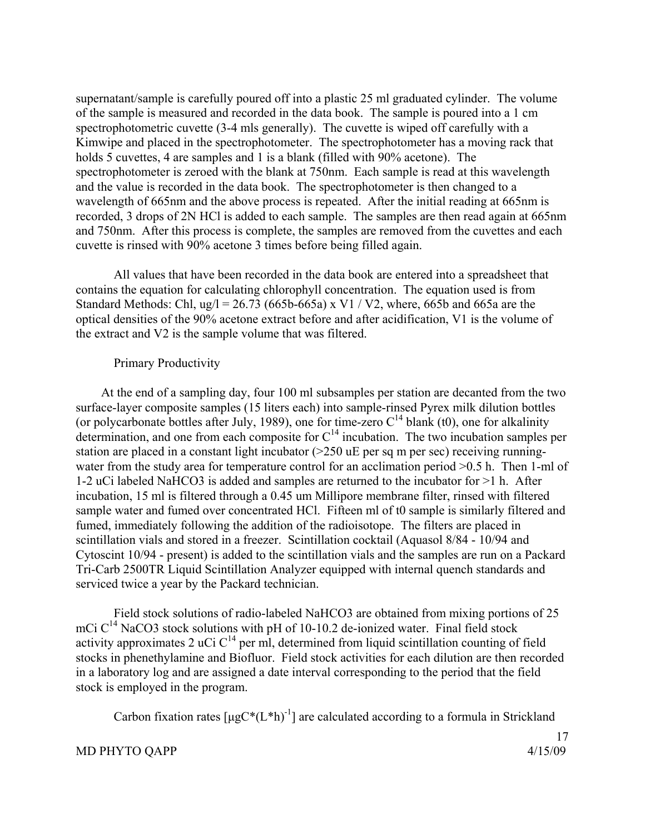supernatant/sample is carefully poured off into a plastic 25 ml graduated cylinder. The volume of the sample is measured and recorded in the data book. The sample is poured into a 1 cm spectrophotometric cuvette (3-4 mls generally). The cuvette is wiped off carefully with a Kimwipe and placed in the spectrophotometer. The spectrophotometer has a moving rack that holds 5 cuvettes, 4 are samples and 1 is a blank (filled with 90% acetone). The spectrophotometer is zeroed with the blank at 750nm. Each sample is read at this wavelength and the value is recorded in the data book. The spectrophotometer is then changed to a wavelength of 665nm and the above process is repeated. After the initial reading at 665nm is recorded, 3 drops of 2N HCl is added to each sample. The samples are then read again at 665nm and 750nm. After this process is complete, the samples are removed from the cuvettes and each cuvette is rinsed with 90% acetone 3 times before being filled again.

All values that have been recorded in the data book are entered into a spreadsheet that contains the equation for calculating chlorophyll concentration. The equation used is from Standard Methods: Chl, ug/l = 26.73 (665b-665a) x V1 / V2, where, 665b and 665a are the optical densities of the 90% acetone extract before and after acidification, V1 is the volume of the extract and V2 is the sample volume that was filtered.

### Primary Productivity

 At the end of a sampling day, four 100 ml subsamples per station are decanted from the two surface-layer composite samples (15 liters each) into sample-rinsed Pyrex milk dilution bottles (or polycarbonate bottles after July, 1989), one for time-zero  $C^{14}$  blank (t0), one for alkalinity determination, and one from each composite for  $C<sup>14</sup>$  incubation. The two incubation samples per station are placed in a constant light incubator (>250 uE per sq m per sec) receiving runningwater from the study area for temperature control for an acclimation period  $> 0.5$  h. Then 1-ml of 1-2 uCi labeled NaHCO3 is added and samples are returned to the incubator for >1 h. After incubation, 15 ml is filtered through a 0.45 um Millipore membrane filter, rinsed with filtered sample water and fumed over concentrated HCl. Fifteen ml of t0 sample is similarly filtered and fumed, immediately following the addition of the radioisotope. The filters are placed in scintillation vials and stored in a freezer. Scintillation cocktail (Aquasol 8/84 - 10/94 and Cytoscint 10/94 - present) is added to the scintillation vials and the samples are run on a Packard Tri-Carb 2500TR Liquid Scintillation Analyzer equipped with internal quench standards and serviced twice a year by the Packard technician.

Field stock solutions of radio-labeled NaHCO3 are obtained from mixing portions of 25 mCi  $C^{14}$  NaCO3 stock solutions with pH of 10-10.2 de-ionized water. Final field stock activity approximates 2 uCi  $C^{14}$  per ml, determined from liquid scintillation counting of field stocks in phenethylamine and Biofluor. Field stock activities for each dilution are then recorded in a laboratory log and are assigned a date interval corresponding to the period that the field stock is employed in the program.

Carbon fixation rates  $[\mu g C^*(L^*h)^{-1}]$  are calculated according to a formula in Strickland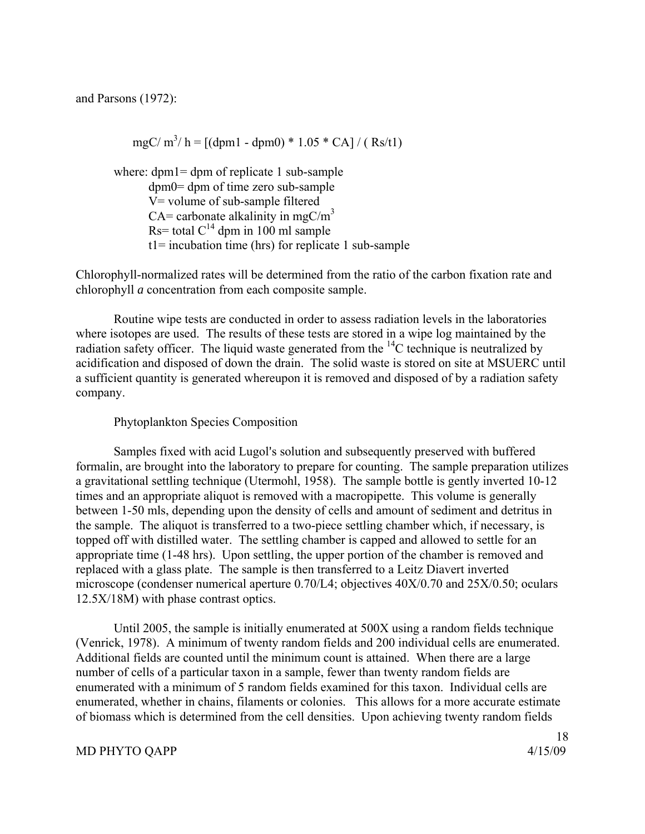and Parsons (1972):

mgC/ m<sup>3</sup>/ h = [(dpm1 - dpm0) \* 1.05 \* CA] / ( Rs/t1)

where: dpm1= dpm of replicate 1 sub-sample dpm0= dpm of time zero sub-sample V= volume of sub-sample filtered CA= carbonate alkalinity in mgC/ $m<sup>3</sup>$ Rs= total  $C^{14}$  dpm in 100 ml sample t1= incubation time (hrs) for replicate 1 sub-sample

Chlorophyll-normalized rates will be determined from the ratio of the carbon fixation rate and chlorophyll *a* concentration from each composite sample.

 Routine wipe tests are conducted in order to assess radiation levels in the laboratories where isotopes are used. The results of these tests are stored in a wipe log maintained by the radiation safety officer. The liquid waste generated from the  $^{14}$ C technique is neutralized by acidification and disposed of down the drain. The solid waste is stored on site at MSUERC until a sufficient quantity is generated whereupon it is removed and disposed of by a radiation safety company.

# Phytoplankton Species Composition

Samples fixed with acid Lugol's solution and subsequently preserved with buffered formalin, are brought into the laboratory to prepare for counting. The sample preparation utilizes a gravitational settling technique (Utermohl, 1958). The sample bottle is gently inverted 10-12 times and an appropriate aliquot is removed with a macropipette. This volume is generally between 1-50 mls, depending upon the density of cells and amount of sediment and detritus in the sample. The aliquot is transferred to a two-piece settling chamber which, if necessary, is topped off with distilled water. The settling chamber is capped and allowed to settle for an appropriate time (1-48 hrs). Upon settling, the upper portion of the chamber is removed and replaced with a glass plate. The sample is then transferred to a Leitz Diavert inverted microscope (condenser numerical aperture 0.70/L4; objectives 40X/0.70 and 25X/0.50; oculars 12.5X/18M) with phase contrast optics.

Until 2005, the sample is initially enumerated at 500X using a random fields technique (Venrick, 1978). A minimum of twenty random fields and 200 individual cells are enumerated. Additional fields are counted until the minimum count is attained. When there are a large number of cells of a particular taxon in a sample, fewer than twenty random fields are enumerated with a minimum of 5 random fields examined for this taxon. Individual cells are enumerated, whether in chains, filaments or colonies. This allows for a more accurate estimate of biomass which is determined from the cell densities. Upon achieving twenty random fields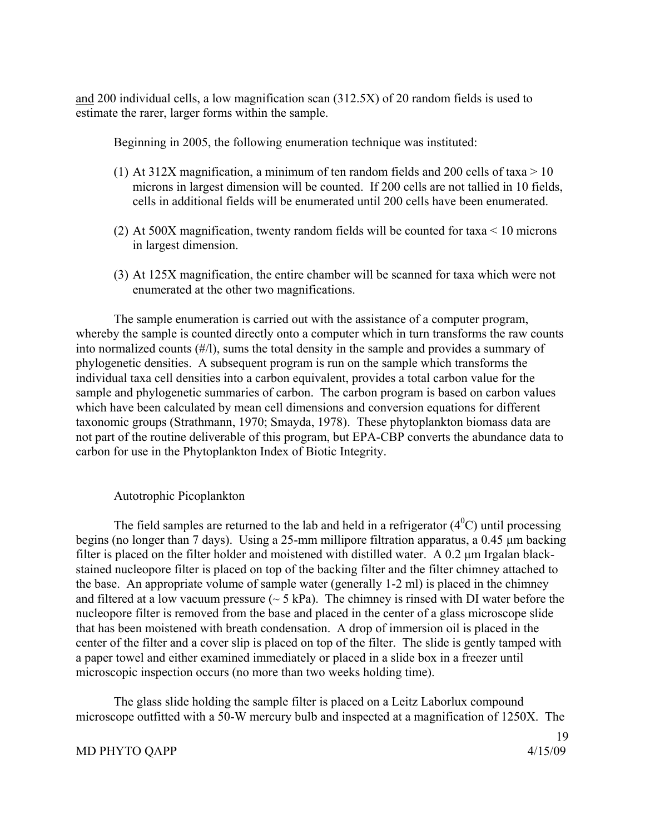and 200 individual cells, a low magnification scan (312.5X) of 20 random fields is used to estimate the rarer, larger forms within the sample.

Beginning in 2005, the following enumeration technique was instituted:

- (1) At 312X magnification, a minimum of ten random fields and 200 cells of taxa  $> 10$ microns in largest dimension will be counted. If 200 cells are not tallied in 10 fields, cells in additional fields will be enumerated until 200 cells have been enumerated.
- (2) At 500X magnification, twenty random fields will be counted for taxa < 10 microns in largest dimension.
- (3) At 125X magnification, the entire chamber will be scanned for taxa which were not enumerated at the other two magnifications.

 The sample enumeration is carried out with the assistance of a computer program, whereby the sample is counted directly onto a computer which in turn transforms the raw counts into normalized counts (#/l), sums the total density in the sample and provides a summary of phylogenetic densities. A subsequent program is run on the sample which transforms the individual taxa cell densities into a carbon equivalent, provides a total carbon value for the sample and phylogenetic summaries of carbon. The carbon program is based on carbon values which have been calculated by mean cell dimensions and conversion equations for different taxonomic groups (Strathmann, 1970; Smayda, 1978). These phytoplankton biomass data are not part of the routine deliverable of this program, but EPA-CBP converts the abundance data to carbon for use in the Phytoplankton Index of Biotic Integrity.

# Autotrophic Picoplankton

The field samples are returned to the lab and held in a refrigerator  $(4^0C)$  until processing begins (no longer than 7 days). Using a 25-mm millipore filtration apparatus, a 0.45 μm backing filter is placed on the filter holder and moistened with distilled water. A 0.2 μm Irgalan blackstained nucleopore filter is placed on top of the backing filter and the filter chimney attached to the base. An appropriate volume of sample water (generally 1-2 ml) is placed in the chimney and filtered at a low vacuum pressure  $(~5 \text{ kPa})$ . The chimney is rinsed with DI water before the nucleopore filter is removed from the base and placed in the center of a glass microscope slide that has been moistened with breath condensation. A drop of immersion oil is placed in the center of the filter and a cover slip is placed on top of the filter. The slide is gently tamped with a paper towel and either examined immediately or placed in a slide box in a freezer until microscopic inspection occurs (no more than two weeks holding time).

The glass slide holding the sample filter is placed on a Leitz Laborlux compound microscope outfitted with a 50-W mercury bulb and inspected at a magnification of 1250X. The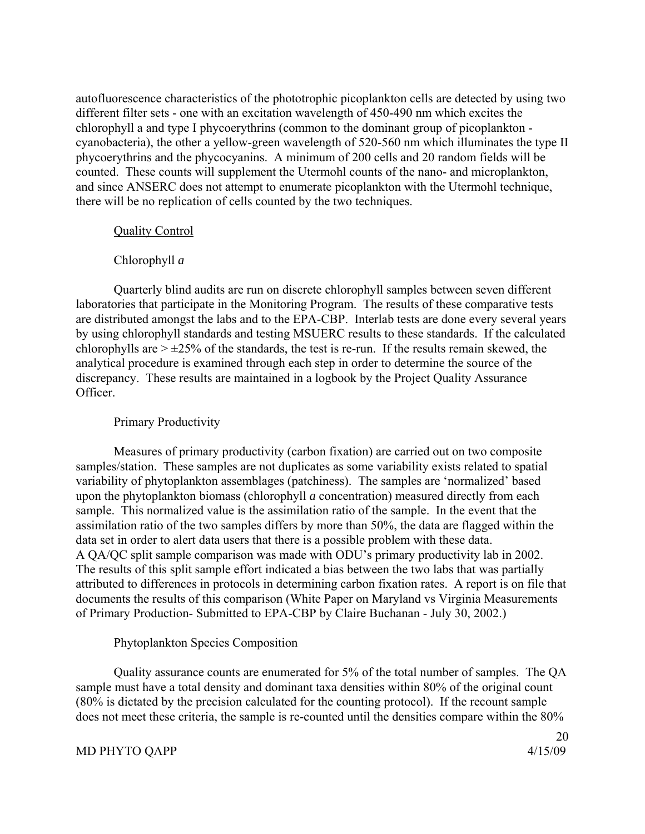autofluorescence characteristics of the phototrophic picoplankton cells are detected by using two different filter sets - one with an excitation wavelength of 450-490 nm which excites the chlorophyll a and type I phycoerythrins (common to the dominant group of picoplankton cyanobacteria), the other a yellow-green wavelength of 520-560 nm which illuminates the type II phycoerythrins and the phycocyanins. A minimum of 200 cells and 20 random fields will be counted. These counts will supplement the Utermohl counts of the nano- and microplankton, and since ANSERC does not attempt to enumerate picoplankton with the Utermohl technique, there will be no replication of cells counted by the two techniques.

# Quality Control

# Chlorophyll *a*

Quarterly blind audits are run on discrete chlorophyll samples between seven different laboratories that participate in the Monitoring Program. The results of these comparative tests are distributed amongst the labs and to the EPA-CBP. Interlab tests are done every several years by using chlorophyll standards and testing MSUERC results to these standards. If the calculated chlorophylls are  $> \pm 25\%$  of the standards, the test is re-run. If the results remain skewed, the analytical procedure is examined through each step in order to determine the source of the discrepancy. These results are maintained in a logbook by the Project Quality Assurance Officer.

# Primary Productivity

Measures of primary productivity (carbon fixation) are carried out on two composite samples/station. These samples are not duplicates as some variability exists related to spatial variability of phytoplankton assemblages (patchiness). The samples are 'normalized' based upon the phytoplankton biomass (chlorophyll *a* concentration) measured directly from each sample. This normalized value is the assimilation ratio of the sample. In the event that the assimilation ratio of the two samples differs by more than 50%, the data are flagged within the data set in order to alert data users that there is a possible problem with these data. A QA/QC split sample comparison was made with ODU's primary productivity lab in 2002. The results of this split sample effort indicated a bias between the two labs that was partially attributed to differences in protocols in determining carbon fixation rates. A report is on file that documents the results of this comparison (White Paper on Maryland vs Virginia Measurements of Primary Production- Submitted to EPA-CBP by Claire Buchanan - July 30, 2002.)

# Phytoplankton Species Composition

Quality assurance counts are enumerated for 5% of the total number of samples. The QA sample must have a total density and dominant taxa densities within 80% of the original count (80% is dictated by the precision calculated for the counting protocol). If the recount sample does not meet these criteria, the sample is re-counted until the densities compare within the 80%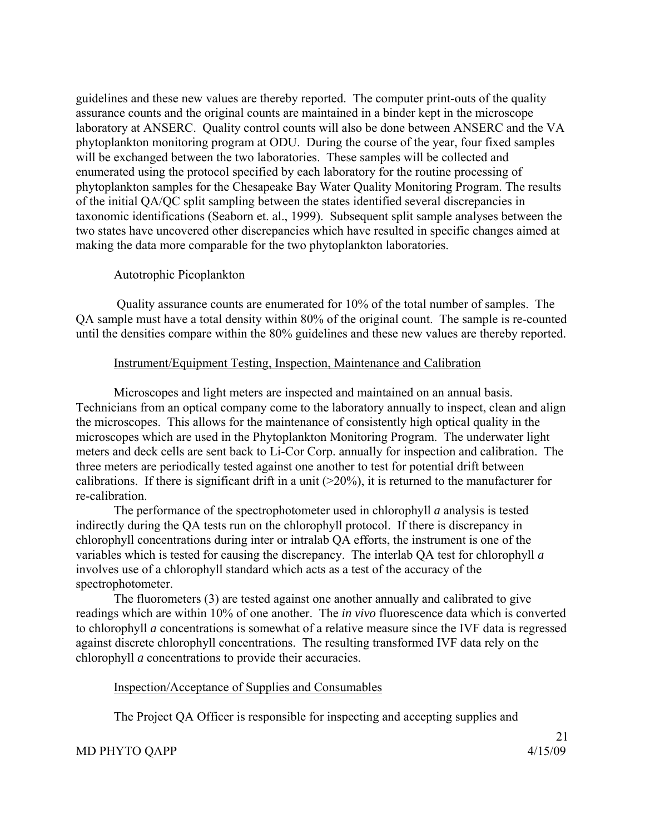guidelines and these new values are thereby reported. The computer print-outs of the quality assurance counts and the original counts are maintained in a binder kept in the microscope laboratory at ANSERC. Quality control counts will also be done between ANSERC and the VA phytoplankton monitoring program at ODU. During the course of the year, four fixed samples will be exchanged between the two laboratories. These samples will be collected and enumerated using the protocol specified by each laboratory for the routine processing of phytoplankton samples for the Chesapeake Bay Water Quality Monitoring Program. The results of the initial QA/QC split sampling between the states identified several discrepancies in taxonomic identifications (Seaborn et. al., 1999). Subsequent split sample analyses between the two states have uncovered other discrepancies which have resulted in specific changes aimed at making the data more comparable for the two phytoplankton laboratories.

# Autotrophic Picoplankton

 Quality assurance counts are enumerated for 10% of the total number of samples. The QA sample must have a total density within 80% of the original count. The sample is re-counted until the densities compare within the 80% guidelines and these new values are thereby reported.

# Instrument/Equipment Testing, Inspection, Maintenance and Calibration

Microscopes and light meters are inspected and maintained on an annual basis. Technicians from an optical company come to the laboratory annually to inspect, clean and align the microscopes. This allows for the maintenance of consistently high optical quality in the microscopes which are used in the Phytoplankton Monitoring Program. The underwater light meters and deck cells are sent back to Li-Cor Corp. annually for inspection and calibration. The three meters are periodically tested against one another to test for potential drift between calibrations. If there is significant drift in a unit  $(>=20\%)$ , it is returned to the manufacturer for re-calibration.

The performance of the spectrophotometer used in chlorophyll *a* analysis is tested indirectly during the QA tests run on the chlorophyll protocol. If there is discrepancy in chlorophyll concentrations during inter or intralab QA efforts, the instrument is one of the variables which is tested for causing the discrepancy. The interlab QA test for chlorophyll *a* involves use of a chlorophyll standard which acts as a test of the accuracy of the spectrophotometer.

The fluorometers (3) are tested against one another annually and calibrated to give readings which are within 10% of one another. The *in vivo* fluorescence data which is converted to chlorophyll *a* concentrations is somewhat of a relative measure since the IVF data is regressed against discrete chlorophyll concentrations. The resulting transformed IVF data rely on the chlorophyll *a* concentrations to provide their accuracies.

# Inspection/Acceptance of Supplies and Consumables

The Project QA Officer is responsible for inspecting and accepting supplies and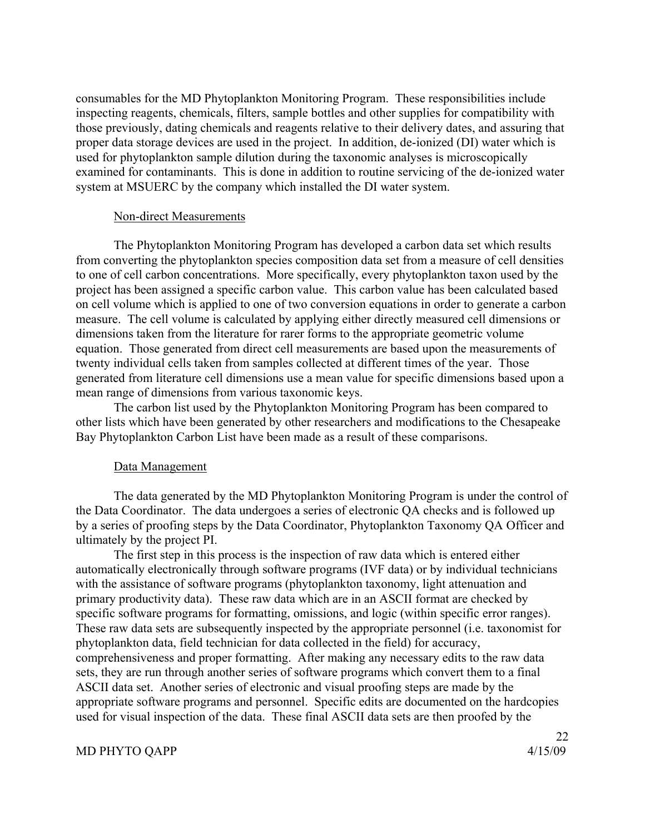consumables for the MD Phytoplankton Monitoring Program. These responsibilities include inspecting reagents, chemicals, filters, sample bottles and other supplies for compatibility with those previously, dating chemicals and reagents relative to their delivery dates, and assuring that proper data storage devices are used in the project. In addition, de-ionized (DI) water which is used for phytoplankton sample dilution during the taxonomic analyses is microscopically examined for contaminants. This is done in addition to routine servicing of the de-ionized water system at MSUERC by the company which installed the DI water system.

#### Non-direct Measurements

The Phytoplankton Monitoring Program has developed a carbon data set which results from converting the phytoplankton species composition data set from a measure of cell densities to one of cell carbon concentrations. More specifically, every phytoplankton taxon used by the project has been assigned a specific carbon value. This carbon value has been calculated based on cell volume which is applied to one of two conversion equations in order to generate a carbon measure. The cell volume is calculated by applying either directly measured cell dimensions or dimensions taken from the literature for rarer forms to the appropriate geometric volume equation. Those generated from direct cell measurements are based upon the measurements of twenty individual cells taken from samples collected at different times of the year. Those generated from literature cell dimensions use a mean value for specific dimensions based upon a mean range of dimensions from various taxonomic keys.

The carbon list used by the Phytoplankton Monitoring Program has been compared to other lists which have been generated by other researchers and modifications to the Chesapeake Bay Phytoplankton Carbon List have been made as a result of these comparisons.

#### Data Management

The data generated by the MD Phytoplankton Monitoring Program is under the control of the Data Coordinator. The data undergoes a series of electronic QA checks and is followed up by a series of proofing steps by the Data Coordinator, Phytoplankton Taxonomy QA Officer and ultimately by the project PI.

The first step in this process is the inspection of raw data which is entered either automatically electronically through software programs (IVF data) or by individual technicians with the assistance of software programs (phytoplankton taxonomy, light attenuation and primary productivity data). These raw data which are in an ASCII format are checked by specific software programs for formatting, omissions, and logic (within specific error ranges). These raw data sets are subsequently inspected by the appropriate personnel (i.e. taxonomist for phytoplankton data, field technician for data collected in the field) for accuracy, comprehensiveness and proper formatting. After making any necessary edits to the raw data sets, they are run through another series of software programs which convert them to a final ASCII data set. Another series of electronic and visual proofing steps are made by the appropriate software programs and personnel. Specific edits are documented on the hardcopies used for visual inspection of the data. These final ASCII data sets are then proofed by the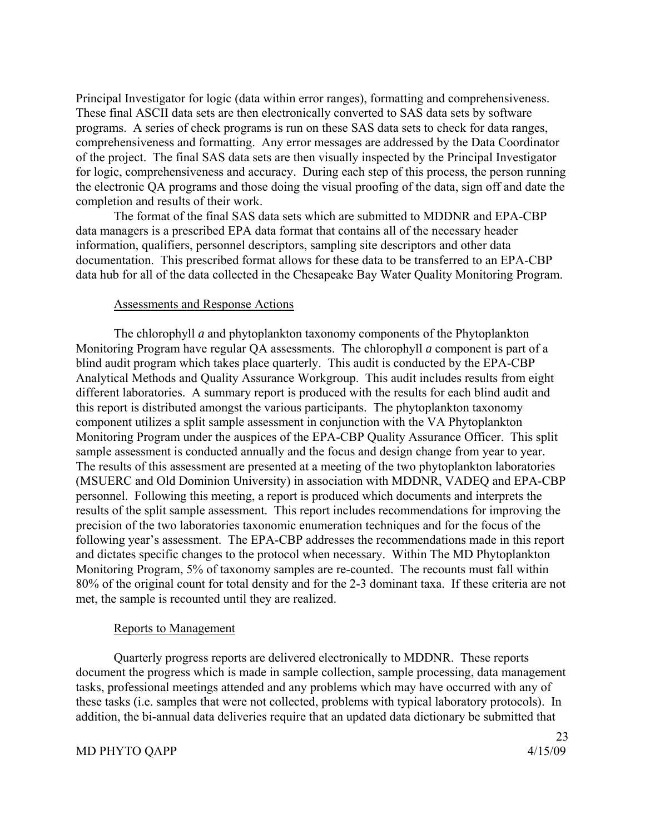Principal Investigator for logic (data within error ranges), formatting and comprehensiveness. These final ASCII data sets are then electronically converted to SAS data sets by software programs. A series of check programs is run on these SAS data sets to check for data ranges, comprehensiveness and formatting. Any error messages are addressed by the Data Coordinator of the project. The final SAS data sets are then visually inspected by the Principal Investigator for logic, comprehensiveness and accuracy. During each step of this process, the person running the electronic QA programs and those doing the visual proofing of the data, sign off and date the completion and results of their work.

The format of the final SAS data sets which are submitted to MDDNR and EPA-CBP data managers is a prescribed EPA data format that contains all of the necessary header information, qualifiers, personnel descriptors, sampling site descriptors and other data documentation. This prescribed format allows for these data to be transferred to an EPA-CBP data hub for all of the data collected in the Chesapeake Bay Water Quality Monitoring Program.

### Assessments and Response Actions

 The chlorophyll *a* and phytoplankton taxonomy components of the Phytoplankton Monitoring Program have regular QA assessments. The chlorophyll *a* component is part of a blind audit program which takes place quarterly. This audit is conducted by the EPA-CBP Analytical Methods and Quality Assurance Workgroup. This audit includes results from eight different laboratories. A summary report is produced with the results for each blind audit and this report is distributed amongst the various participants. The phytoplankton taxonomy component utilizes a split sample assessment in conjunction with the VA Phytoplankton Monitoring Program under the auspices of the EPA-CBP Quality Assurance Officer. This split sample assessment is conducted annually and the focus and design change from year to year. The results of this assessment are presented at a meeting of the two phytoplankton laboratories (MSUERC and Old Dominion University) in association with MDDNR, VADEQ and EPA-CBP personnel. Following this meeting, a report is produced which documents and interprets the results of the split sample assessment. This report includes recommendations for improving the precision of the two laboratories taxonomic enumeration techniques and for the focus of the following year's assessment. The EPA-CBP addresses the recommendations made in this report and dictates specific changes to the protocol when necessary. Within The MD Phytoplankton Monitoring Program, 5% of taxonomy samples are re-counted. The recounts must fall within 80% of the original count for total density and for the 2-3 dominant taxa. If these criteria are not met, the sample is recounted until they are realized.

### Reports to Management

 Quarterly progress reports are delivered electronically to MDDNR. These reports document the progress which is made in sample collection, sample processing, data management tasks, professional meetings attended and any problems which may have occurred with any of these tasks (i.e. samples that were not collected, problems with typical laboratory protocols). In addition, the bi-annual data deliveries require that an updated data dictionary be submitted that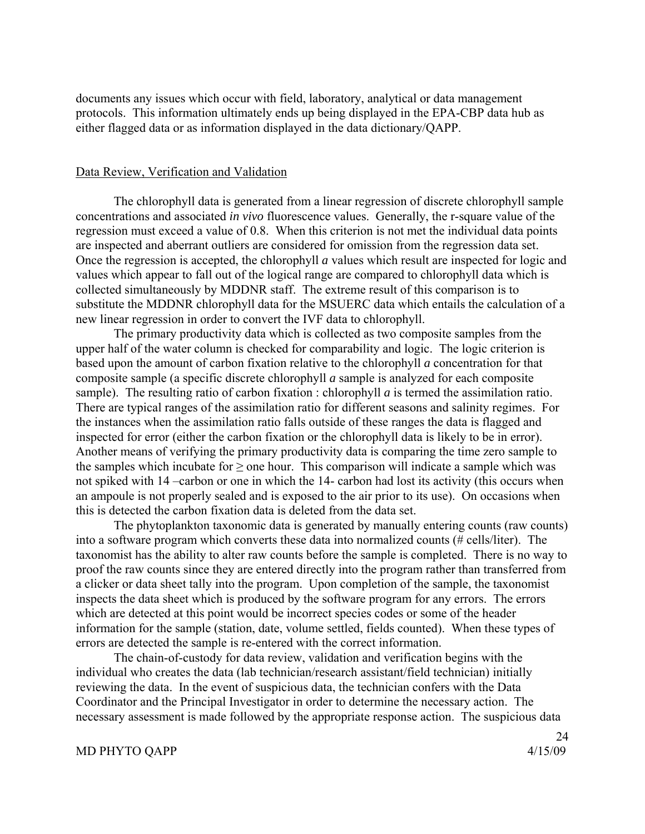documents any issues which occur with field, laboratory, analytical or data management protocols. This information ultimately ends up being displayed in the EPA-CBP data hub as either flagged data or as information displayed in the data dictionary/QAPP.

#### Data Review, Verification and Validation

 The chlorophyll data is generated from a linear regression of discrete chlorophyll sample concentrations and associated *in vivo* fluorescence values. Generally, the r-square value of the regression must exceed a value of 0.8. When this criterion is not met the individual data points are inspected and aberrant outliers are considered for omission from the regression data set. Once the regression is accepted, the chlorophyll *a* values which result are inspected for logic and values which appear to fall out of the logical range are compared to chlorophyll data which is collected simultaneously by MDDNR staff. The extreme result of this comparison is to substitute the MDDNR chlorophyll data for the MSUERC data which entails the calculation of a new linear regression in order to convert the IVF data to chlorophyll.

 The primary productivity data which is collected as two composite samples from the upper half of the water column is checked for comparability and logic. The logic criterion is based upon the amount of carbon fixation relative to the chlorophyll *a* concentration for that composite sample (a specific discrete chlorophyll *a* sample is analyzed for each composite sample). The resulting ratio of carbon fixation : chlorophyll *a* is termed the assimilation ratio. There are typical ranges of the assimilation ratio for different seasons and salinity regimes. For the instances when the assimilation ratio falls outside of these ranges the data is flagged and inspected for error (either the carbon fixation or the chlorophyll data is likely to be in error). Another means of verifying the primary productivity data is comparing the time zero sample to the samples which incubate for  $\geq$  one hour. This comparison will indicate a sample which was not spiked with 14 –carbon or one in which the 14- carbon had lost its activity (this occurs when an ampoule is not properly sealed and is exposed to the air prior to its use). On occasions when this is detected the carbon fixation data is deleted from the data set.

The phytoplankton taxonomic data is generated by manually entering counts (raw counts) into a software program which converts these data into normalized counts (# cells/liter). The taxonomist has the ability to alter raw counts before the sample is completed. There is no way to proof the raw counts since they are entered directly into the program rather than transferred from a clicker or data sheet tally into the program. Upon completion of the sample, the taxonomist inspects the data sheet which is produced by the software program for any errors. The errors which are detected at this point would be incorrect species codes or some of the header information for the sample (station, date, volume settled, fields counted). When these types of errors are detected the sample is re-entered with the correct information.

The chain-of-custody for data review, validation and verification begins with the individual who creates the data (lab technician/research assistant/field technician) initially reviewing the data. In the event of suspicious data, the technician confers with the Data Coordinator and the Principal Investigator in order to determine the necessary action. The necessary assessment is made followed by the appropriate response action. The suspicious data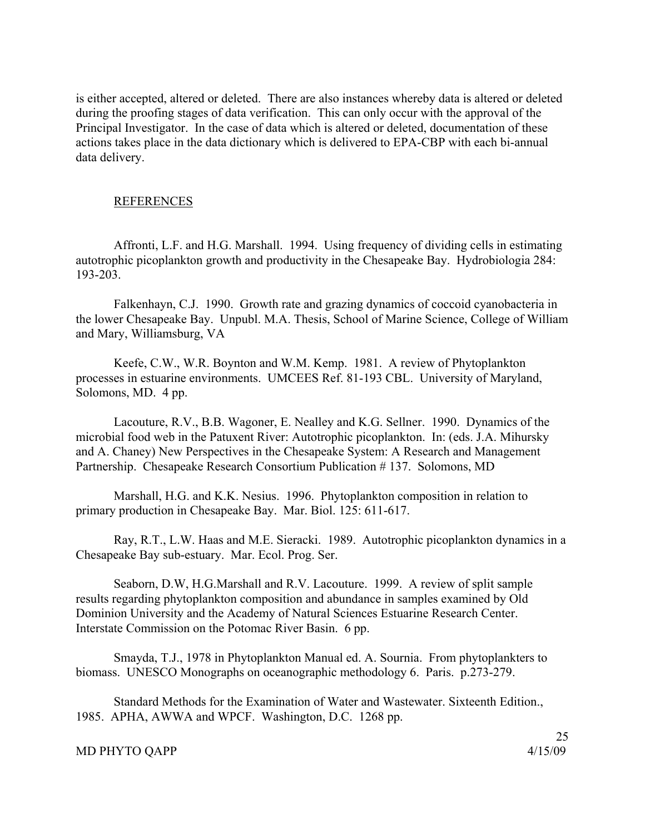is either accepted, altered or deleted. There are also instances whereby data is altered or deleted during the proofing stages of data verification. This can only occur with the approval of the Principal Investigator. In the case of data which is altered or deleted, documentation of these actions takes place in the data dictionary which is delivered to EPA-CBP with each bi-annual data delivery.

### REFERENCES

Affronti, L.F. and H.G. Marshall. 1994. Using frequency of dividing cells in estimating autotrophic picoplankton growth and productivity in the Chesapeake Bay. Hydrobiologia 284: 193-203.

Falkenhayn, C.J. 1990. Growth rate and grazing dynamics of coccoid cyanobacteria in the lower Chesapeake Bay. Unpubl. M.A. Thesis, School of Marine Science, College of William and Mary, Williamsburg, VA

Keefe, C.W., W.R. Boynton and W.M. Kemp. 1981. A review of Phytoplankton processes in estuarine environments. UMCEES Ref. 81-193 CBL. University of Maryland, Solomons, MD. 4 pp.

Lacouture, R.V., B.B. Wagoner, E. Nealley and K.G. Sellner. 1990. Dynamics of the microbial food web in the Patuxent River: Autotrophic picoplankton. In: (eds. J.A. Mihursky and A. Chaney) New Perspectives in the Chesapeake System: A Research and Management Partnership. Chesapeake Research Consortium Publication # 137. Solomons, MD

Marshall, H.G. and K.K. Nesius. 1996. Phytoplankton composition in relation to primary production in Chesapeake Bay. Mar. Biol. 125: 611-617.

Ray, R.T., L.W. Haas and M.E. Sieracki. 1989. Autotrophic picoplankton dynamics in a Chesapeake Bay sub-estuary. Mar. Ecol. Prog. Ser.

Seaborn, D.W, H.G.Marshall and R.V. Lacouture. 1999. A review of split sample results regarding phytoplankton composition and abundance in samples examined by Old Dominion University and the Academy of Natural Sciences Estuarine Research Center. Interstate Commission on the Potomac River Basin. 6 pp.

Smayda, T.J., 1978 in Phytoplankton Manual ed. A. Sournia. From phytoplankters to biomass. UNESCO Monographs on oceanographic methodology 6. Paris. p.273-279.

Standard Methods for the Examination of Water and Wastewater. Sixteenth Edition., 1985. APHA, AWWA and WPCF. Washington, D.C. 1268 pp.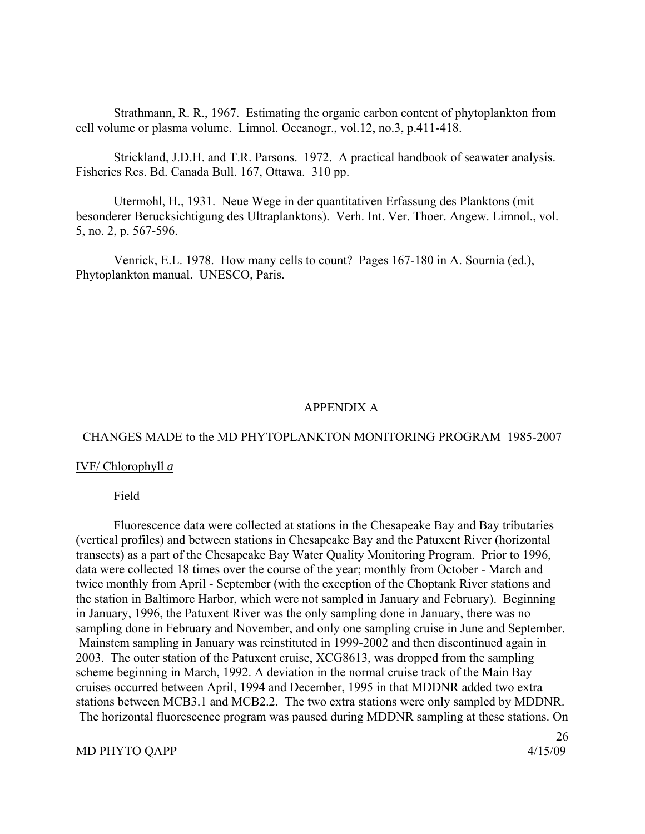Strathmann, R. R., 1967. Estimating the organic carbon content of phytoplankton from cell volume or plasma volume. Limnol. Oceanogr., vol.12, no.3, p.411-418.

Strickland, J.D.H. and T.R. Parsons. 1972. A practical handbook of seawater analysis. Fisheries Res. Bd. Canada Bull. 167, Ottawa. 310 pp.

Utermohl, H., 1931. Neue Wege in der quantitativen Erfassung des Planktons (mit besonderer Berucksichtigung des Ultraplanktons). Verh. Int. Ver. Thoer. Angew. Limnol., vol. 5, no. 2, p. 567-596.

Venrick, E.L. 1978. How many cells to count? Pages 167-180 in A. Sournia (ed.), Phytoplankton manual. UNESCO, Paris.

### APPENDIX A

# CHANGES MADE to the MD PHYTOPLANKTON MONITORING PROGRAM 1985-2007

### IVF/ Chlorophyll *a*

#### Field

 Fluorescence data were collected at stations in the Chesapeake Bay and Bay tributaries (vertical profiles) and between stations in Chesapeake Bay and the Patuxent River (horizontal transects) as a part of the Chesapeake Bay Water Quality Monitoring Program. Prior to 1996, data were collected 18 times over the course of the year; monthly from October - March and twice monthly from April - September (with the exception of the Choptank River stations and the station in Baltimore Harbor, which were not sampled in January and February). Beginning in January, 1996, the Patuxent River was the only sampling done in January, there was no sampling done in February and November, and only one sampling cruise in June and September. Mainstem sampling in January was reinstituted in 1999-2002 and then discontinued again in 2003. The outer station of the Patuxent cruise, XCG8613, was dropped from the sampling scheme beginning in March, 1992. A deviation in the normal cruise track of the Main Bay cruises occurred between April, 1994 and December, 1995 in that MDDNR added two extra stations between MCB3.1 and MCB2.2. The two extra stations were only sampled by MDDNR. The horizontal fluorescence program was paused during MDDNR sampling at these stations. On

### MD PHYTO QAPP 4/15/09

26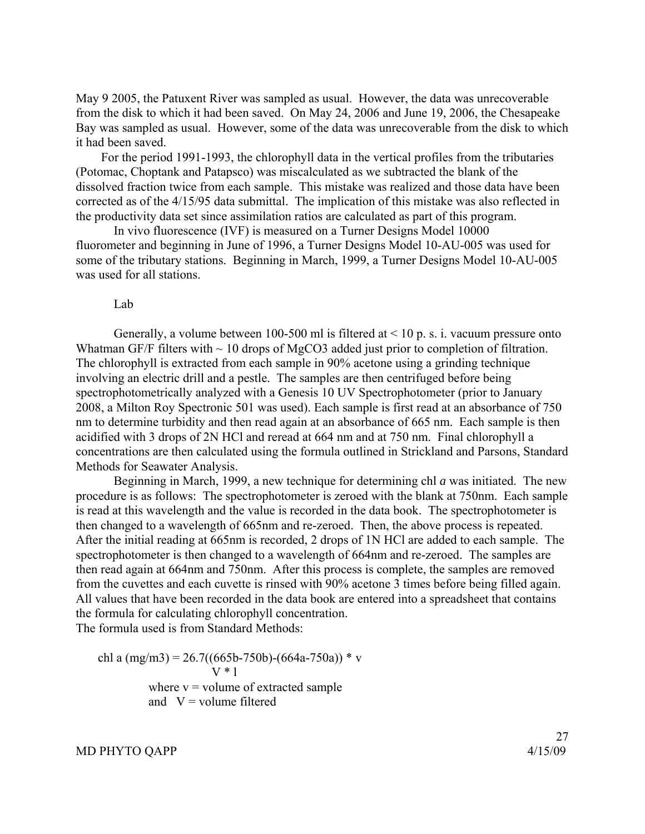May 9 2005, the Patuxent River was sampled as usual. However, the data was unrecoverable from the disk to which it had been saved. On May 24, 2006 and June 19, 2006, the Chesapeake Bay was sampled as usual. However, some of the data was unrecoverable from the disk to which it had been saved.

 For the period 1991-1993, the chlorophyll data in the vertical profiles from the tributaries (Potomac, Choptank and Patapsco) was miscalculated as we subtracted the blank of the dissolved fraction twice from each sample. This mistake was realized and those data have been corrected as of the 4/15/95 data submittal. The implication of this mistake was also reflected in the productivity data set since assimilation ratios are calculated as part of this program.

 In vivo fluorescence (IVF) is measured on a Turner Designs Model 10000 fluorometer and beginning in June of 1996, a Turner Designs Model 10-AU-005 was used for some of the tributary stations. Beginning in March, 1999, a Turner Designs Model 10-AU-005 was used for all stations.

#### Lab

Generally, a volume between 100-500 ml is filtered at  $\leq$  10 p. s. i. vacuum pressure onto Whatman GF/F filters with  $\sim$  10 drops of MgCO3 added just prior to completion of filtration. The chlorophyll is extracted from each sample in 90% acetone using a grinding technique involving an electric drill and a pestle. The samples are then centrifuged before being spectrophotometrically analyzed with a Genesis 10 UV Spectrophotometer (prior to January 2008, a Milton Roy Spectronic 501 was used). Each sample is first read at an absorbance of 750 nm to determine turbidity and then read again at an absorbance of 665 nm. Each sample is then acidified with 3 drops of 2N HCl and reread at 664 nm and at 750 nm. Final chlorophyll a concentrations are then calculated using the formula outlined in Strickland and Parsons, Standard Methods for Seawater Analysis.

 Beginning in March, 1999, a new technique for determining chl *a* was initiated. The new procedure is as follows: The spectrophotometer is zeroed with the blank at 750nm. Each sample is read at this wavelength and the value is recorded in the data book. The spectrophotometer is then changed to a wavelength of 665nm and re-zeroed. Then, the above process is repeated. After the initial reading at 665nm is recorded, 2 drops of 1N HCl are added to each sample. The spectrophotometer is then changed to a wavelength of 664nm and re-zeroed. The samples are then read again at 664nm and 750nm. After this process is complete, the samples are removed from the cuvettes and each cuvette is rinsed with 90% acetone 3 times before being filled again. All values that have been recorded in the data book are entered into a spreadsheet that contains the formula for calculating chlorophyll concentration.

The formula used is from Standard Methods:

chl a  $(mg/m3) = 26.7((665b-750b)-(664a-750a))$  \* v  $V*1$ where  $v =$  volume of extracted sample and  $V =$  volume filtered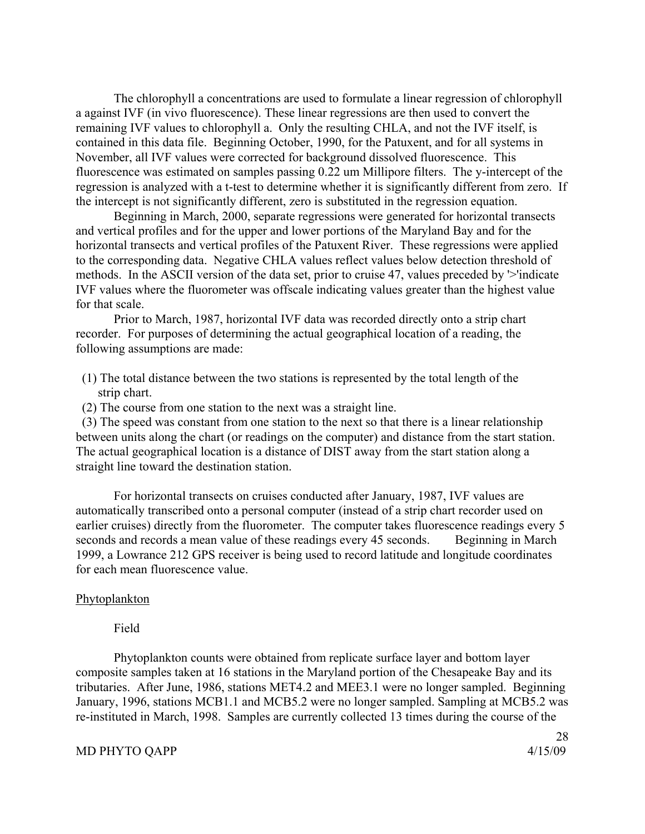The chlorophyll a concentrations are used to formulate a linear regression of chlorophyll a against IVF (in vivo fluorescence). These linear regressions are then used to convert the remaining IVF values to chlorophyll a. Only the resulting CHLA, and not the IVF itself, is contained in this data file. Beginning October, 1990, for the Patuxent, and for all systems in November, all IVF values were corrected for background dissolved fluorescence. This fluorescence was estimated on samples passing 0.22 um Millipore filters. The y-intercept of the regression is analyzed with a t-test to determine whether it is significantly different from zero. If the intercept is not significantly different, zero is substituted in the regression equation.

 Beginning in March, 2000, separate regressions were generated for horizontal transects and vertical profiles and for the upper and lower portions of the Maryland Bay and for the horizontal transects and vertical profiles of the Patuxent River. These regressions were applied to the corresponding data. Negative CHLA values reflect values below detection threshold of methods. In the ASCII version of the data set, prior to cruise 47, values preceded by '>'indicate IVF values where the fluorometer was offscale indicating values greater than the highest value for that scale.

 Prior to March, 1987, horizontal IVF data was recorded directly onto a strip chart recorder. For purposes of determining the actual geographical location of a reading, the following assumptions are made:

- (1) The total distance between the two stations is represented by the total length of the strip chart.
- (2) The course from one station to the next was a straight line.

 (3) The speed was constant from one station to the next so that there is a linear relationship between units along the chart (or readings on the computer) and distance from the start station. The actual geographical location is a distance of DIST away from the start station along a straight line toward the destination station.

 For horizontal transects on cruises conducted after January, 1987, IVF values are automatically transcribed onto a personal computer (instead of a strip chart recorder used on earlier cruises) directly from the fluorometer. The computer takes fluorescence readings every 5 seconds and records a mean value of these readings every 45 seconds. Beginning in March 1999, a Lowrance 212 GPS receiver is being used to record latitude and longitude coordinates for each mean fluorescence value.

#### Phytoplankton

### Field

 Phytoplankton counts were obtained from replicate surface layer and bottom layer composite samples taken at 16 stations in the Maryland portion of the Chesapeake Bay and its tributaries. After June, 1986, stations MET4.2 and MEE3.1 were no longer sampled. Beginning January, 1996, stations MCB1.1 and MCB5.2 were no longer sampled. Sampling at MCB5.2 was re-instituted in March, 1998. Samples are currently collected 13 times during the course of the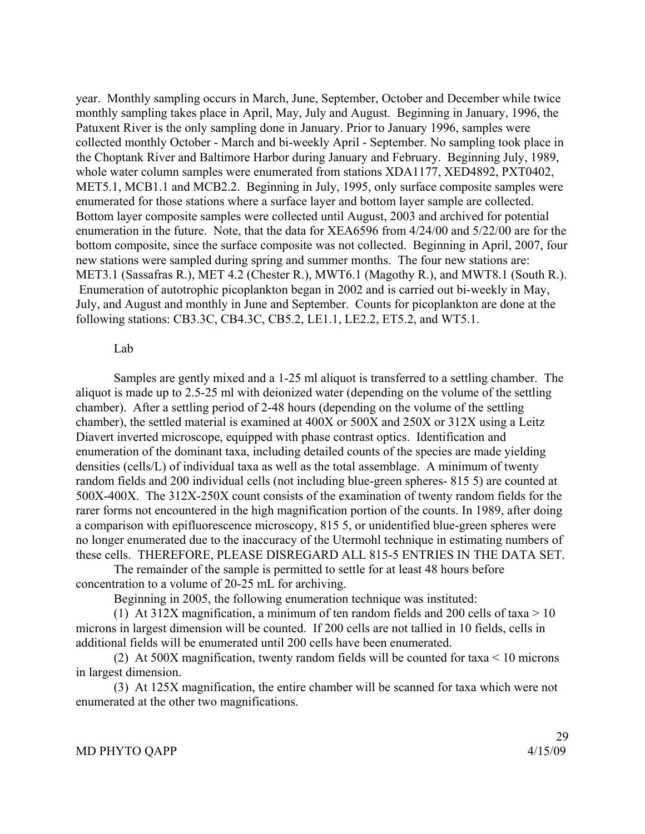year. Monthly sampling occurs in March, June, September, October and December while twice monthly sampling takes place in April, May, July and August. Beginning in January, 1996, the Patuxent River is the only sampling done in January. Prior to January 1996, samples were collected monthly October - March and bi-weekly April - September. No sampling took place in the Choptank River and Baltimore Harbor during January and February. Beginning July, 1989, whole water column samples were enumerated from stations XDA1177, XED4892, PXT0402, MET5.1, MCB1.1 and MCB2.2. Beginning in July, 1995, only surface composite samples were enumerated for those stations where a surface layer and bottom layer sample are collected. Bottom layer composite samples were collected until August, 2003 and archived for potential enumeration in the future. Note, that the data for XEA6596 from 4/24/00 and 5/22/00 are for the bottom composite, since the surface composite was not collected. Beginning in April, 2007, four new stations were sampled during spring and summer months. The four new stations are: MET3.1 (Sassafras R.), MET 4.2 (Chester R.), MWT6.1 (Magothy R.), and MWT8.1 (South R.). Enumeration of autotrophic picoplankton began in 2002 and is carried out bi-weekly in May, July, and August and monthly in June and September. Counts for picoplankton are done at the following stations: CB3.3C, CB4.3C, CB5.2, LE1.1, LE2.2, ET5.2, and WT5.1.

### Lab

 Samples are gently mixed and a 1-25 ml aliquot is transferred to a settling chamber. The aliquot is made up to 2.5-25 ml with deionized water (depending on the volume of the settling chamber). After a settling period of 2-48 hours (depending on the volume of the settling chamber), the settled material is examined at 400X or 500X and 250X or 312X using a Leitz Diavert inverted microscope, equipped with phase contrast optics. Identification and enumeration of the dominant taxa, including detailed counts of the species are made yielding densities (cells/L) of individual taxa as well as the total assemblage. A minimum of twenty random fields and 200 individual cells (not including blue-green spheres- 815 5) are counted at 500X-400X. The 312X-250X count consists of the examination of twenty random fields for the rarer forms not encountered in the high magnification portion of the counts. In 1989, after doing a comparison with epifluorescence microscopy, 815 5, or unidentified blue-green spheres were no longer enumerated due to the inaccuracy of the Utermohl technique in estimating numbers of these cells. THEREFORE, PLEASE DISREGARD ALL 815-5 ENTRIES IN THE DATA SET.

 The remainder of the sample is permitted to settle for at least 48 hours before concentration to a volume of 20-25 mL for archiving.

Beginning in 2005, the following enumeration technique was instituted:

(1) At 312X magnification, a minimum of ten random fields and 200 cells of taxa  $> 10$ microns in largest dimension will be counted. If 200 cells are not tallied in 10 fields, cells in additional fields will be enumerated until 200 cells have been enumerated.

 (2) At 500X magnification, twenty random fields will be counted for taxa < 10 microns in largest dimension.

 (3) At 125X magnification, the entire chamber will be scanned for taxa which were not enumerated at the other two magnifications.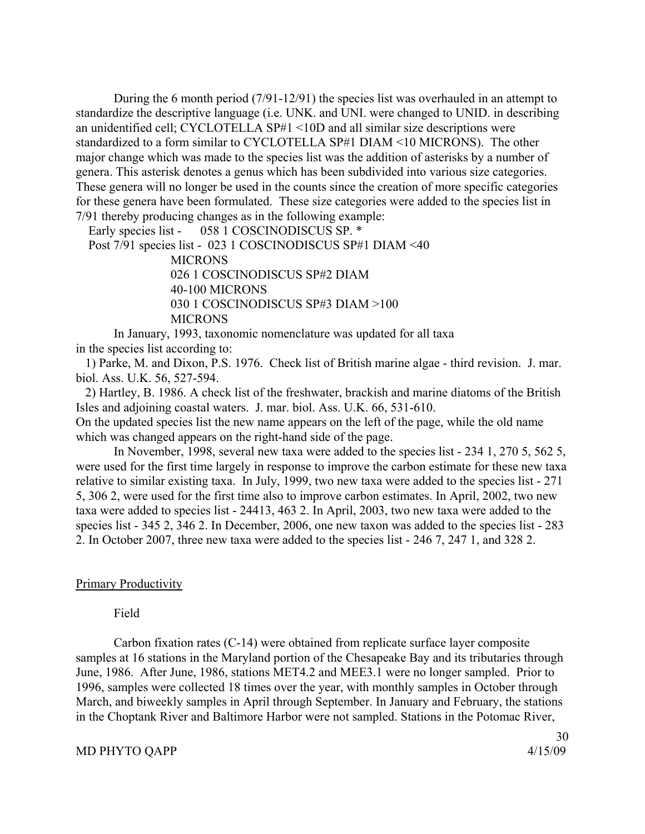During the 6 month period (7/91-12/91) the species list was overhauled in an attempt to standardize the descriptive language (i.e. UNK. and UNI. were changed to UNID. in describing an unidentified cell; CYCLOTELLA SP#1 <10D and all similar size descriptions were standardized to a form similar to CYCLOTELLA SP#1 DIAM <10 MICRONS). The other major change which was made to the species list was the addition of asterisks by a number of genera. This asterisk denotes a genus which has been subdivided into various size categories. These genera will no longer be used in the counts since the creation of more specific categories for these genera have been formulated. These size categories were added to the species list in 7/91 thereby producing changes as in the following example:

Early species list - 058 1 COSCINODISCUS SP. \*

Post 7/91 species list - 023 1 COSCINODISCUS SP#1 DIAM <40

**MICRONS**  026 1 COSCINODISCUS SP#2 DIAM 40-100 MICRONS 030 1 COSCINODISCUS SP#3 DIAM >100 **MICRONS** 

 In January, 1993, taxonomic nomenclature was updated for all taxa in the species list according to:

 1) Parke, M. and Dixon, P.S. 1976. Check list of British marine algae - third revision. J. mar. biol. Ass. U.K. 56, 527-594.

 2) Hartley, B. 1986. A check list of the freshwater, brackish and marine diatoms of the British Isles and adjoining coastal waters. J. mar. biol. Ass. U.K. 66, 531-610.

On the updated species list the new name appears on the left of the page, while the old name which was changed appears on the right-hand side of the page.

 In November, 1998, several new taxa were added to the species list - 234 1, 270 5, 562 5, were used for the first time largely in response to improve the carbon estimate for these new taxa relative to similar existing taxa. In July, 1999, two new taxa were added to the species list - 271 5, 306 2, were used for the first time also to improve carbon estimates. In April, 2002, two new taxa were added to species list - 24413, 463 2. In April, 2003, two new taxa were added to the species list - 345 2, 346 2. In December, 2006, one new taxon was added to the species list - 283 2. In October 2007, three new taxa were added to the species list - 246 7, 247 1, and 328 2.

### Primary Productivity

Field

 Carbon fixation rates (C-14) were obtained from replicate surface layer composite samples at 16 stations in the Maryland portion of the Chesapeake Bay and its tributaries through June, 1986. After June, 1986, stations MET4.2 and MEE3.1 were no longer sampled. Prior to 1996, samples were collected 18 times over the year, with monthly samples in October through March, and biweekly samples in April through September. In January and February, the stations in the Choptank River and Baltimore Harbor were not sampled. Stations in the Potomac River,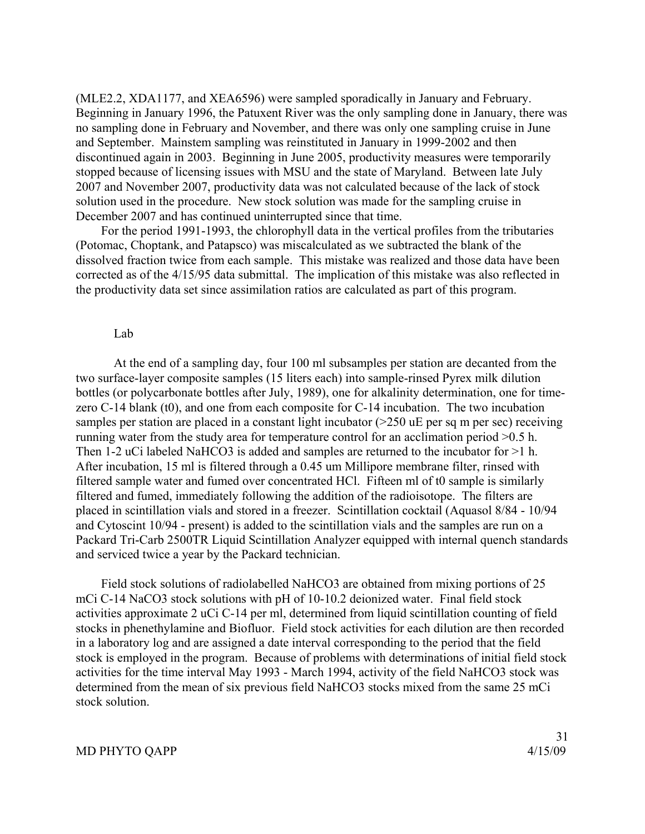(MLE2.2, XDA1177, and XEA6596) were sampled sporadically in January and February. Beginning in January 1996, the Patuxent River was the only sampling done in January, there was no sampling done in February and November, and there was only one sampling cruise in June and September. Mainstem sampling was reinstituted in January in 1999-2002 and then discontinued again in 2003. Beginning in June 2005, productivity measures were temporarily stopped because of licensing issues with MSU and the state of Maryland. Between late July 2007 and November 2007, productivity data was not calculated because of the lack of stock solution used in the procedure. New stock solution was made for the sampling cruise in December 2007 and has continued uninterrupted since that time.

 For the period 1991-1993, the chlorophyll data in the vertical profiles from the tributaries (Potomac, Choptank, and Patapsco) was miscalculated as we subtracted the blank of the dissolved fraction twice from each sample. This mistake was realized and those data have been corrected as of the 4/15/95 data submittal. The implication of this mistake was also reflected in the productivity data set since assimilation ratios are calculated as part of this program.

#### Lab

 At the end of a sampling day, four 100 ml subsamples per station are decanted from the two surface-layer composite samples (15 liters each) into sample-rinsed Pyrex milk dilution bottles (or polycarbonate bottles after July, 1989), one for alkalinity determination, one for timezero C-14 blank (t0), and one from each composite for C-14 incubation. The two incubation samples per station are placed in a constant light incubator (>250 uE per sq m per sec) receiving running water from the study area for temperature control for an acclimation period >0.5 h. Then 1-2 uCi labeled NaHCO3 is added and samples are returned to the incubator for >1 h. After incubation, 15 ml is filtered through a 0.45 um Millipore membrane filter, rinsed with filtered sample water and fumed over concentrated HCl. Fifteen ml of t0 sample is similarly filtered and fumed, immediately following the addition of the radioisotope. The filters are placed in scintillation vials and stored in a freezer. Scintillation cocktail (Aquasol 8/84 - 10/94 and Cytoscint 10/94 - present) is added to the scintillation vials and the samples are run on a Packard Tri-Carb 2500TR Liquid Scintillation Analyzer equipped with internal quench standards and serviced twice a year by the Packard technician.

 Field stock solutions of radiolabelled NaHCO3 are obtained from mixing portions of 25 mCi C-14 NaCO3 stock solutions with pH of 10-10.2 deionized water. Final field stock activities approximate 2 uCi C-14 per ml, determined from liquid scintillation counting of field stocks in phenethylamine and Biofluor. Field stock activities for each dilution are then recorded in a laboratory log and are assigned a date interval corresponding to the period that the field stock is employed in the program. Because of problems with determinations of initial field stock activities for the time interval May 1993 - March 1994, activity of the field NaHCO3 stock was determined from the mean of six previous field NaHCO3 stocks mixed from the same 25 mCi stock solution.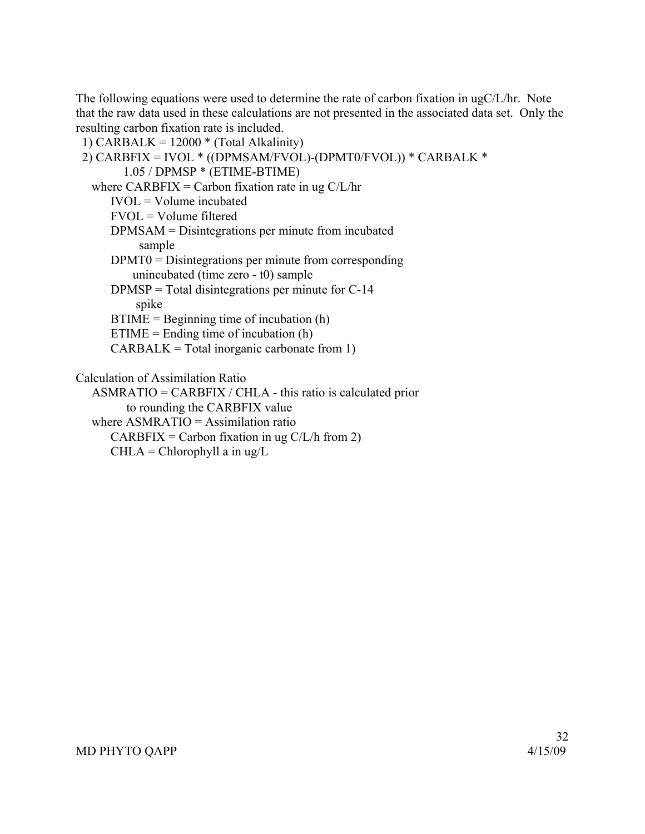The following equations were used to determine the rate of carbon fixation in ugC/L/hr. Note that the raw data used in these calculations are not presented in the associated data set. Only the resulting carbon fixation rate is included.

1) CARBALK =  $12000 *$  (Total Alkalinity)

```
 2) CARBFIX = IVOL * ((DPMSAM/FVOL)-(DPMT0/FVOL)) * CARBALK * 
       1.05 / DPMSP * (ETIME-BTIME) 
where CARBFIX = Carbon fixation rate in ug C/L/hrIVOL = Volume in cubated FVOL = Volume filtered 
     DPMSAM = Disintegrations per minute from incubated 
          sample 
     DPMT0 = Disintegrations per minute from corresponding 
         unincubated (time zero - t0) sample 
    DPMSP = Total disintegrations per minute for C-14 spike 
    BTIME = Beginning time of incubation (h)ETIME = Ending time of incubation (h)
    CARBALK = Total inorganic carbonate from 1)Calculation of Assimilation Ratio 
  ASMRATIO = CARBFIX / CHLA - this ratio is calculated prior 
        to rounding the CARBFIX value 
where ASMRATIO = Assimilation ratio
```
 $CARBFIX = Carbon$  fixation in ug  $C/L/h$  from 2)

 $CHLA = Chlorophyll a in ug/L$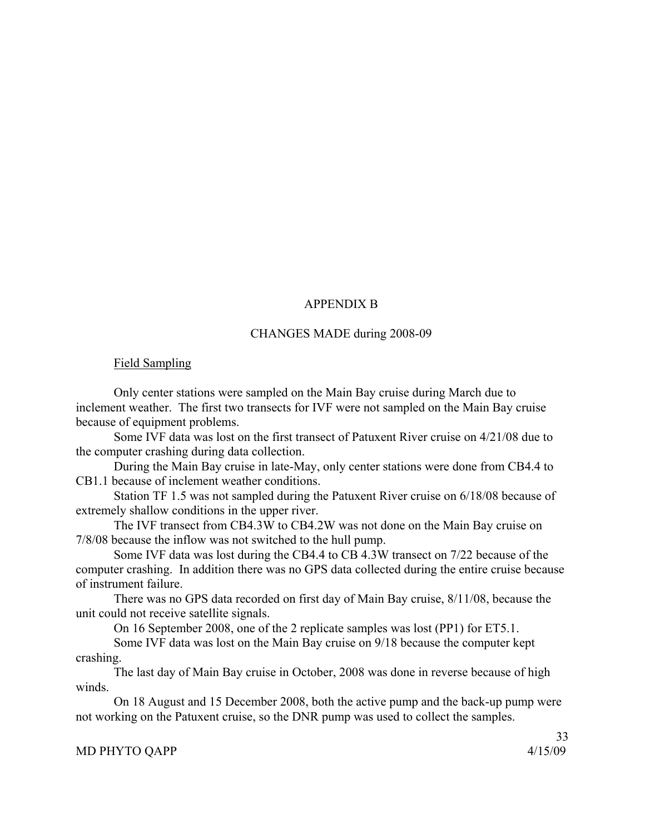# APPENDIX B

### CHANGES MADE during 2008-09

### Field Sampling

Only center stations were sampled on the Main Bay cruise during March due to inclement weather. The first two transects for IVF were not sampled on the Main Bay cruise because of equipment problems.

Some IVF data was lost on the first transect of Patuxent River cruise on 4/21/08 due to the computer crashing during data collection.

During the Main Bay cruise in late-May, only center stations were done from CB4.4 to CB1.1 because of inclement weather conditions.

Station TF 1.5 was not sampled during the Patuxent River cruise on 6/18/08 because of extremely shallow conditions in the upper river.

The IVF transect from CB4.3W to CB4.2W was not done on the Main Bay cruise on 7/8/08 because the inflow was not switched to the hull pump.

Some IVF data was lost during the CB4.4 to CB 4.3W transect on 7/22 because of the computer crashing. In addition there was no GPS data collected during the entire cruise because of instrument failure.

There was no GPS data recorded on first day of Main Bay cruise, 8/11/08, because the unit could not receive satellite signals.

On 16 September 2008, one of the 2 replicate samples was lost (PP1) for ET5.1.

Some IVF data was lost on the Main Bay cruise on 9/18 because the computer kept crashing.

The last day of Main Bay cruise in October, 2008 was done in reverse because of high winds.

On 18 August and 15 December 2008, both the active pump and the back-up pump were not working on the Patuxent cruise, so the DNR pump was used to collect the samples.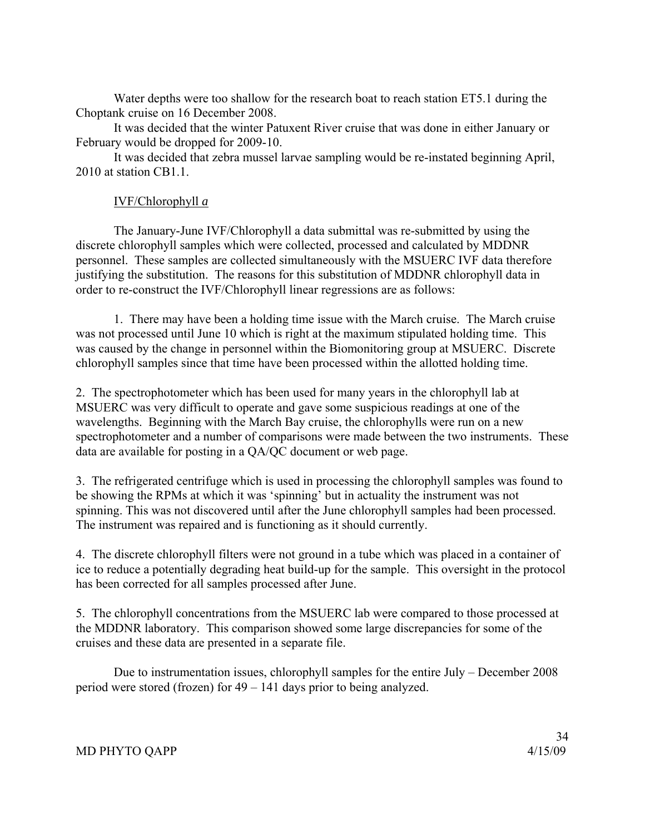Water depths were too shallow for the research boat to reach station ET5.1 during the Choptank cruise on 16 December 2008.

It was decided that the winter Patuxent River cruise that was done in either January or February would be dropped for 2009-10.

It was decided that zebra mussel larvae sampling would be re-instated beginning April, 2010 at station CB1.1.

# IVF/Chlorophyll *a*

 The January-June IVF/Chlorophyll a data submittal was re-submitted by using the discrete chlorophyll samples which were collected, processed and calculated by MDDNR personnel. These samples are collected simultaneously with the MSUERC IVF data therefore justifying the substitution. The reasons for this substitution of MDDNR chlorophyll data in order to re-construct the IVF/Chlorophyll linear regressions are as follows:

 1. There may have been a holding time issue with the March cruise. The March cruise was not processed until June 10 which is right at the maximum stipulated holding time. This was caused by the change in personnel within the Biomonitoring group at MSUERC. Discrete chlorophyll samples since that time have been processed within the allotted holding time.

2. The spectrophotometer which has been used for many years in the chlorophyll lab at MSUERC was very difficult to operate and gave some suspicious readings at one of the wavelengths. Beginning with the March Bay cruise, the chlorophylls were run on a new spectrophotometer and a number of comparisons were made between the two instruments. These data are available for posting in a QA/QC document or web page.

3. The refrigerated centrifuge which is used in processing the chlorophyll samples was found to be showing the RPMs at which it was 'spinning' but in actuality the instrument was not spinning. This was not discovered until after the June chlorophyll samples had been processed. The instrument was repaired and is functioning as it should currently.

4. The discrete chlorophyll filters were not ground in a tube which was placed in a container of ice to reduce a potentially degrading heat build-up for the sample. This oversight in the protocol has been corrected for all samples processed after June.

5. The chlorophyll concentrations from the MSUERC lab were compared to those processed at the MDDNR laboratory. This comparison showed some large discrepancies for some of the cruises and these data are presented in a separate file.

 Due to instrumentation issues, chlorophyll samples for the entire July – December 2008 period were stored (frozen) for 49 – 141 days prior to being analyzed.